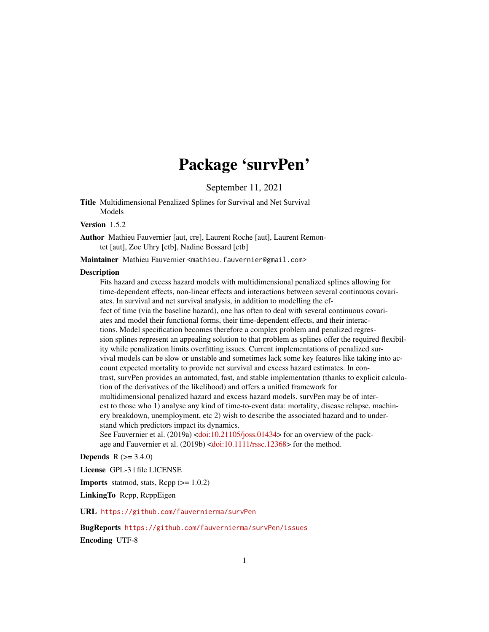# Package 'survPen'

September 11, 2021

<span id="page-0-0"></span>Title Multidimensional Penalized Splines for Survival and Net Survival Models

#### Version 1.5.2

Author Mathieu Fauvernier [aut, cre], Laurent Roche [aut], Laurent Remontet [aut], Zoe Uhry [ctb], Nadine Bossard [ctb]

Maintainer Mathieu Fauvernier <mathieu.fauvernier@gmail.com>

#### Description

Fits hazard and excess hazard models with multidimensional penalized splines allowing for time-dependent effects, non-linear effects and interactions between several continuous covariates. In survival and net survival analysis, in addition to modelling the effect of time (via the baseline hazard), one has often to deal with several continuous covariates and model their functional forms, their time-dependent effects, and their interactions. Model specification becomes therefore a complex problem and penalized regression splines represent an appealing solution to that problem as splines offer the required flexibility while penalization limits overfitting issues. Current implementations of penalized survival models can be slow or unstable and sometimes lack some key features like taking into account expected mortality to provide net survival and excess hazard estimates. In contrast, survPen provides an automated, fast, and stable implementation (thanks to explicit calculation of the derivatives of the likelihood) and offers a unified framework for multidimensional penalized hazard and excess hazard models. survPen may be of interest to those who 1) analyse any kind of time-to-event data: mortality, disease relapse, machinery breakdown, unemployment, etc 2) wish to describe the associated hazard and to understand which predictors impact its dynamics. See Fauvernier et al. (2019a) [<doi:10.21105/joss.01434>](https://doi.org/10.21105/joss.01434) for an overview of the pack-

age and Fauvernier et al. (2019b) [<doi:10.1111/rssc.12368>](https://doi.org/10.1111/rssc.12368) for the method.

### **Depends**  $R (= 3.4.0)$

License GPL-3 | file LICENSE

**Imports** statmod, stats,  $\text{Rcpp} (> = 1.0.2)$ 

LinkingTo Rcpp, RcppEigen

URL <https://github.com/fauvernierma/survPen>

BugReports <https://github.com/fauvernierma/survPen/issues> Encoding UTF-8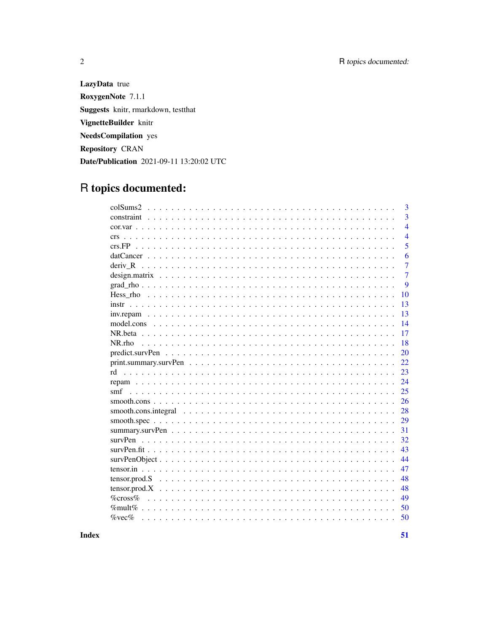LazyData true RoxygenNote 7.1.1 Suggests knitr, rmarkdown, testthat VignetteBuilder knitr NeedsCompilation yes **Repository CRAN** Date/Publication 2021-09-11 13:20:02 UTC

## R topics documented:

| $\overline{3}$<br>constraint $\ldots$ , $\ldots$ , $\ldots$ , $\ldots$ , $\ldots$ , $\ldots$ , $\ldots$ , $\ldots$ , $\ldots$ , $\ldots$ , $\ldots$ , $\ldots$ , $\ldots$ , $\ldots$<br>$\overline{4}$<br>$\overline{4}$<br>crs<br>5<br>6<br>$\overline{7}$<br>deriv R<br>$\overline{7}$<br>9<br>10<br>13<br>instrumental and the contract of the contract of the contract of the contract of the contract of the contract of the contract of the contract of the contract of the contract of the contract of the contract of the contract<br>13<br>14<br>17<br>18<br>$NR $ rho<br>20<br>22<br>23<br>24<br>25<br>smf<br>26<br>28<br>29<br>31<br>survPen<br>32<br>43<br>44<br>47 |
|---------------------------------------------------------------------------------------------------------------------------------------------------------------------------------------------------------------------------------------------------------------------------------------------------------------------------------------------------------------------------------------------------------------------------------------------------------------------------------------------------------------------------------------------------------------------------------------------------------------------------------------------------------------------------------|
|                                                                                                                                                                                                                                                                                                                                                                                                                                                                                                                                                                                                                                                                                 |
|                                                                                                                                                                                                                                                                                                                                                                                                                                                                                                                                                                                                                                                                                 |
|                                                                                                                                                                                                                                                                                                                                                                                                                                                                                                                                                                                                                                                                                 |
|                                                                                                                                                                                                                                                                                                                                                                                                                                                                                                                                                                                                                                                                                 |
|                                                                                                                                                                                                                                                                                                                                                                                                                                                                                                                                                                                                                                                                                 |
|                                                                                                                                                                                                                                                                                                                                                                                                                                                                                                                                                                                                                                                                                 |
|                                                                                                                                                                                                                                                                                                                                                                                                                                                                                                                                                                                                                                                                                 |
|                                                                                                                                                                                                                                                                                                                                                                                                                                                                                                                                                                                                                                                                                 |
|                                                                                                                                                                                                                                                                                                                                                                                                                                                                                                                                                                                                                                                                                 |
|                                                                                                                                                                                                                                                                                                                                                                                                                                                                                                                                                                                                                                                                                 |
|                                                                                                                                                                                                                                                                                                                                                                                                                                                                                                                                                                                                                                                                                 |
|                                                                                                                                                                                                                                                                                                                                                                                                                                                                                                                                                                                                                                                                                 |
|                                                                                                                                                                                                                                                                                                                                                                                                                                                                                                                                                                                                                                                                                 |
|                                                                                                                                                                                                                                                                                                                                                                                                                                                                                                                                                                                                                                                                                 |
|                                                                                                                                                                                                                                                                                                                                                                                                                                                                                                                                                                                                                                                                                 |
|                                                                                                                                                                                                                                                                                                                                                                                                                                                                                                                                                                                                                                                                                 |
|                                                                                                                                                                                                                                                                                                                                                                                                                                                                                                                                                                                                                                                                                 |
|                                                                                                                                                                                                                                                                                                                                                                                                                                                                                                                                                                                                                                                                                 |
|                                                                                                                                                                                                                                                                                                                                                                                                                                                                                                                                                                                                                                                                                 |
|                                                                                                                                                                                                                                                                                                                                                                                                                                                                                                                                                                                                                                                                                 |
|                                                                                                                                                                                                                                                                                                                                                                                                                                                                                                                                                                                                                                                                                 |
|                                                                                                                                                                                                                                                                                                                                                                                                                                                                                                                                                                                                                                                                                 |
|                                                                                                                                                                                                                                                                                                                                                                                                                                                                                                                                                                                                                                                                                 |
|                                                                                                                                                                                                                                                                                                                                                                                                                                                                                                                                                                                                                                                                                 |
|                                                                                                                                                                                                                                                                                                                                                                                                                                                                                                                                                                                                                                                                                 |
|                                                                                                                                                                                                                                                                                                                                                                                                                                                                                                                                                                                                                                                                                 |
|                                                                                                                                                                                                                                                                                                                                                                                                                                                                                                                                                                                                                                                                                 |
| 48                                                                                                                                                                                                                                                                                                                                                                                                                                                                                                                                                                                                                                                                              |
| 48                                                                                                                                                                                                                                                                                                                                                                                                                                                                                                                                                                                                                                                                              |
| $\%$ cross $\%$<br>49                                                                                                                                                                                                                                                                                                                                                                                                                                                                                                                                                                                                                                                           |
| 50<br>$\%$ mult $\%$                                                                                                                                                                                                                                                                                                                                                                                                                                                                                                                                                                                                                                                            |
| $\%$ vec $\%$<br>50                                                                                                                                                                                                                                                                                                                                                                                                                                                                                                                                                                                                                                                             |

**Index** 

51

 $\overline{2}$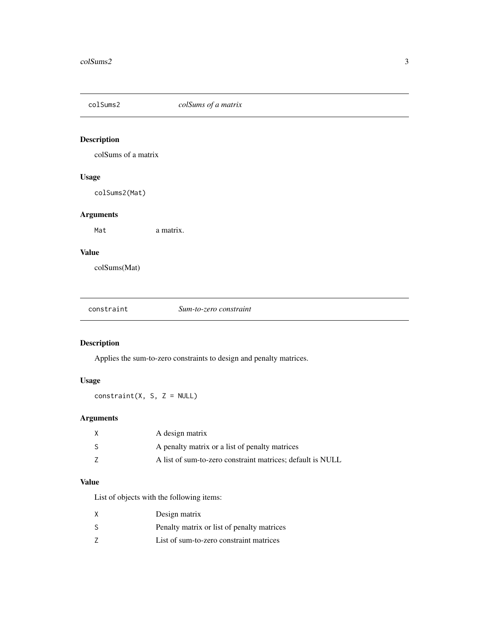<span id="page-2-0"></span>

### Description

colSums of a matrix

### Usage

colSums2(Mat)

### Arguments

Mat a matrix.

### Value

colSums(Mat)

### Description

Applies the sum-to-zero constraints to design and penalty matrices.

### Usage

 $constraint(X, S, Z = NULL)$ 

### Arguments

| A design matrix                                            |
|------------------------------------------------------------|
| A penalty matrix or a list of penalty matrices             |
| A list of sum-to-zero constraint matrices; default is NULL |

### Value

List of objects with the following items:

| X | Design matrix                              |
|---|--------------------------------------------|
| S | Penalty matrix or list of penalty matrices |
| 7 | List of sum-to-zero constraint matrices    |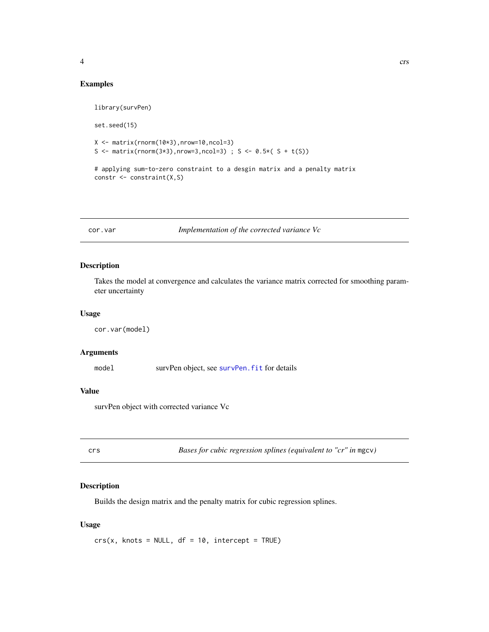<span id="page-3-0"></span>

### Examples

```
library(survPen)
set.seed(15)
X \leftarrow matrix(rnorm(10*3),nrow=10,ncol=3)S <- matrix(rnorm(3*3),nrow=3,ncol=3) ; S <- 0.5*( S + t(S))
# applying sum-to-zero constraint to a desgin matrix and a penalty matrix
constr <- constraint(X,S)
```
cor.var *Implementation of the corrected variance Vc*

### Description

Takes the model at convergence and calculates the variance matrix corrected for smoothing parameter uncertainty

#### Usage

cor.var(model)

### Arguments

model survPen object, see [survPen.fit](#page-42-1) for details

### Value

survPen object with corrected variance Vc

<span id="page-3-1"></span>crs *Bases for cubic regression splines (equivalent to "cr" in* mgcv*)*

#### Description

Builds the design matrix and the penalty matrix for cubic regression splines.

#### Usage

 $crs(x, knots = NULL, df = 10, intercept = TRUE)$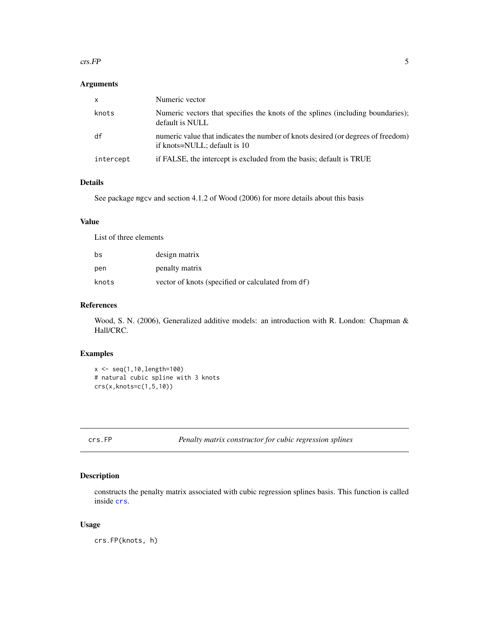#### <span id="page-4-0"></span> $\epsilon$ rs.FP 5

#### Arguments

| х         | Numeric vector                                                                                                   |
|-----------|------------------------------------------------------------------------------------------------------------------|
| knots     | Numeric vectors that specifies the knots of the splines (including boundaries);<br>default is NULL               |
| df        | numeric value that indicates the number of knots desired (or degrees of freedom)<br>if knots=NULL; default is 10 |
| intercept | if FALSE, the intercept is excluded from the basis; default is TRUE                                              |

### Details

See package mgcv and section 4.1.2 of Wood (2006) for more details about this basis

### Value

List of three elements

| bs    | design matrix                                     |
|-------|---------------------------------------------------|
| pen   | penalty matrix                                    |
| knots | vector of knots (specified or calculated from df) |

#### References

Wood, S. N. (2006), Generalized additive models: an introduction with R. London: Chapman & Hall/CRC.

#### Examples

```
x <- seq(1,10,length=100)
# natural cubic spline with 3 knots
crs(x,knots=c(1,5,10))
```
crs.FP *Penalty matrix constructor for cubic regression splines*

### Description

constructs the penalty matrix associated with cubic regression splines basis. This function is called inside [crs](#page-3-1).

#### Usage

crs.FP(knots, h)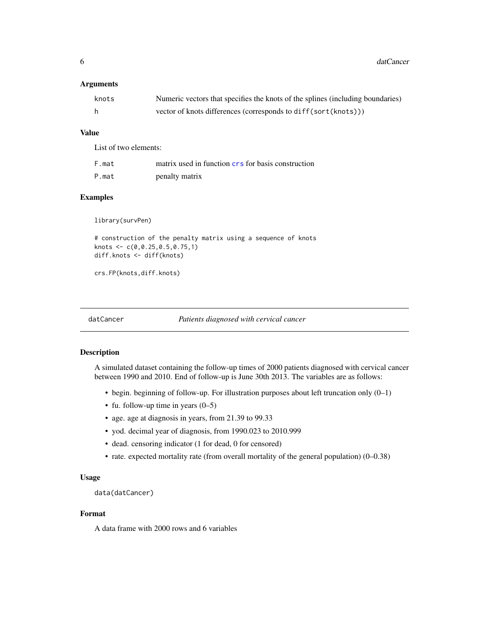<span id="page-5-0"></span>**6** datCancer and the control of the control of the control of the control of the control of the control of the control of the control of the control of the control of the control of the control of the control of the contr

### Arguments

| knots | Numeric vectors that specifies the knots of the splines (including boundaries) |
|-------|--------------------------------------------------------------------------------|
|       | vector of knots differences (corresponds to diff(sort(knots)))                 |

### Value

List of two elements:

| F.mat | matrix used in function crs for basis construction |
|-------|----------------------------------------------------|
| P.mat | penalty matrix                                     |

### Examples

library(survPen)

```
# construction of the penalty matrix using a sequence of knots
knots <- c(0,0.25,0.5,0.75,1)
diff.knots <- diff(knots)
```
crs.FP(knots,diff.knots)

```
datCancer Patients diagnosed with cervical cancer
```
#### Description

A simulated dataset containing the follow-up times of 2000 patients diagnosed with cervical cancer between 1990 and 2010. End of follow-up is June 30th 2013. The variables are as follows:

- begin. beginning of follow-up. For illustration purposes about left truncation only (0–1)
- fu. follow-up time in years  $(0-5)$
- age. age at diagnosis in years, from 21.39 to 99.33
- yod. decimal year of diagnosis, from 1990.023 to 2010.999
- dead. censoring indicator (1 for dead, 0 for censored)
- rate. expected mortality rate (from overall mortality of the general population) (0–0.38)

#### Usage

data(datCancer)

### Format

A data frame with 2000 rows and 6 variables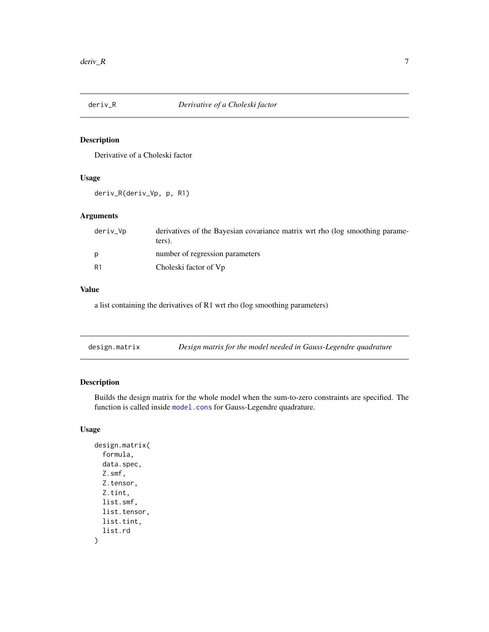<span id="page-6-0"></span>

### Description

Derivative of a Choleski factor

#### Usage

deriv\_R(deriv\_Vp, p, R1)

### Arguments

| deriv_Vp       | derivatives of the Bayesian covariance matrix wrt rho (log smoothing parame-<br>ters). |
|----------------|----------------------------------------------------------------------------------------|
| D              | number of regression parameters                                                        |
| R <sub>1</sub> | Choleski factor of Vp                                                                  |

### Value

a list containing the derivatives of R1 wrt rho (log smoothing parameters)

| Design matrix for the model needed in Gauss-Legendre quadrature | design.matrix |  |  |
|-----------------------------------------------------------------|---------------|--|--|
|-----------------------------------------------------------------|---------------|--|--|

### Description

Builds the design matrix for the whole model when the sum-to-zero constraints are specified. The function is called inside [model.cons](#page-13-1) for Gauss-Legendre quadrature.

### Usage

```
design.matrix(
  formula,
  data.spec,
  Z.smf,
  Z.tensor,
  Z.tint,
  list.smf,
  list.tensor,
  list.tint,
  list.rd
\mathcal{L}
```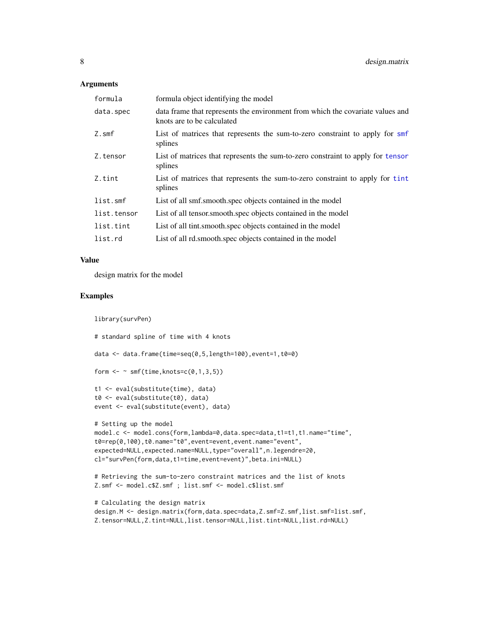#### <span id="page-7-0"></span>Arguments

| formula        | formula object identifying the model                                                                         |
|----------------|--------------------------------------------------------------------------------------------------------------|
| data.spec      | data frame that represents the environment from which the covariate values and<br>knots are to be calculated |
| $Z.\text{smf}$ | List of matrices that represents the sum-to-zero constraint to apply for smf<br>splines                      |
| Z.tensor       | List of matrices that represents the sum-to-zero constraint to apply for tensor<br>splines                   |
| Z.tint         | List of matrices that represents the sum-to-zero constraint to apply for tint<br>splines                     |
| list.smf       | List of all smf.smooth.spec objects contained in the model                                                   |
| list.tensor    | List of all tensor smooth spec objects contained in the model                                                |
| list.tint      | List of all tint.smooth.spec objects contained in the model                                                  |
| list.rd        | List of all rd. smooth. spec objects contained in the model                                                  |

### Value

design matrix for the model

#### Examples

library(survPen)

```
# standard spline of time with 4 knots
data <- data.frame(time=seq(0,5,length=100),event=1,t0=0)
form \leq \sim smf(time, knots=c(0,1,3,5))
t1 <- eval(substitute(time), data)
t0 <- eval(substitute(t0), data)
event <- eval(substitute(event), data)
# Setting up the model
model.c <- model.cons(form,lambda=0,data.spec=data,t1=t1,t1.name="time",
t0=rep(0,100),t0.name="t0",event=event,event.name="event",
expected=NULL, expected.name=NULL, type="overall", n.legendre=20,
cl="survPen(form,data,t1=time,event=event)",beta.ini=NULL)
# Retrieving the sum-to-zero constraint matrices and the list of knots
Z.smf <- model.c$Z.smf ; list.smf <- model.c$list.smf
# Calculating the design matrix
```

```
design.M <- design.matrix(form,data.spec=data,Z.smf=Z.smf,list.smf=list.smf,
Z.tensor=NULL,Z.tint=NULL,list.tensor=NULL,list.tint=NULL,list.rd=NULL)
```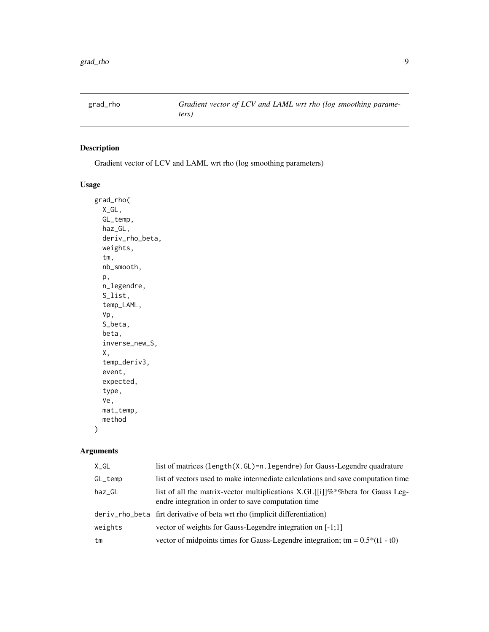<span id="page-8-0"></span>

### Description

Gradient vector of LCV and LAML wrt rho (log smoothing parameters)

### Usage

grad\_rho( X\_GL, GL\_temp, haz\_GL, deriv\_rho\_beta, weights, tm, nb\_smooth, p, n\_legendre, S\_list, temp\_LAML, Vp, S\_beta, beta, inverse\_new\_S, X, temp\_deriv3, event, expected, type, Ve, mat\_temp, method

### Arguments

 $\mathcal{L}$ 

| X_GL    | list of matrices (length(X.GL)=n.legendre) for Gauss-Legendre quadrature                                                                   |
|---------|--------------------------------------------------------------------------------------------------------------------------------------------|
| GL_temp | list of vectors used to make intermediate calculations and save computation time                                                           |
| haz_GL  | list of all the matrix-vector multiplications X.GL[[i]]\%*\%\text{be for Gauss Leg-<br>endre integration in order to save computation time |
|         | deriv_rho_beta firt derivative of beta wrt rho (implicit differentiation)                                                                  |
| weights | vector of weights for Gauss-Legendre integration on [-1;1]                                                                                 |
| tm      | vector of midpoints times for Gauss-Legendre integration; tm = $0.5*(1 - t0)$                                                              |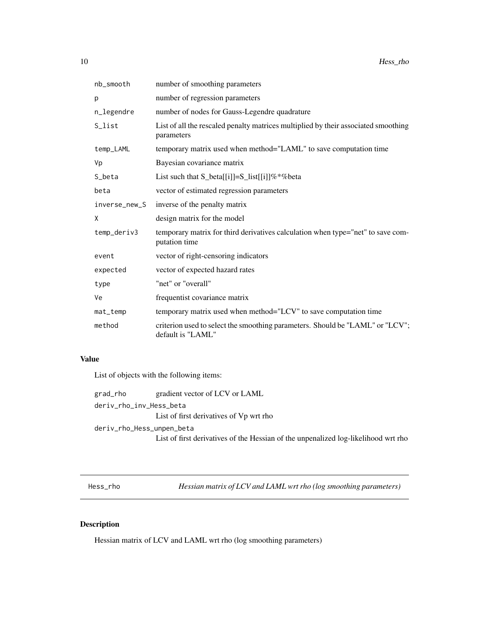<span id="page-9-0"></span>

| nb_smooth     | number of smoothing parameters                                                                     |
|---------------|----------------------------------------------------------------------------------------------------|
| p             | number of regression parameters                                                                    |
| n_legendre    | number of nodes for Gauss-Legendre quadrature                                                      |
| S_list        | List of all the rescaled penalty matrices multiplied by their associated smoothing<br>parameters   |
| temp_LAML     | temporary matrix used when method="LAML" to save computation time                                  |
| Vp            | Bayesian covariance matrix                                                                         |
| S_beta        | List such that $S_{beta[[i]]=S_{list[[i]]}\%*\%beta$                                               |
| beta          | vector of estimated regression parameters                                                          |
| inverse_new_S | inverse of the penalty matrix                                                                      |
| Χ             | design matrix for the model                                                                        |
| temp_deriv3   | temporary matrix for third derivatives calculation when type="net" to save com-<br>putation time   |
| event         | vector of right-censoring indicators                                                               |
| expected      | vector of expected hazard rates                                                                    |
| type          | "net" or "overall"                                                                                 |
| Ve            | frequentist covariance matrix                                                                      |
| mat_temp      | temporary matrix used when method="LCV" to save computation time                                   |
| method        | criterion used to select the smoothing parameters. Should be "LAML" or "LCV";<br>default is "LAML" |

### Value

List of objects with the following items:

| grad_rho                  | gradient vector of LCV or LAML                                                     |
|---------------------------|------------------------------------------------------------------------------------|
| deriv_rho_inv_Hess_beta   |                                                                                    |
|                           | List of first derivatives of Vp wrt rho                                            |
| deriv_rho_Hess_unpen_beta |                                                                                    |
|                           | List of first derivatives of the Hessian of the unpenalized log-likelihood wrt rho |

Hess\_rho *Hessian matrix of LCV and LAML wrt rho (log smoothing parameters)*

### Description

Hessian matrix of LCV and LAML wrt rho (log smoothing parameters)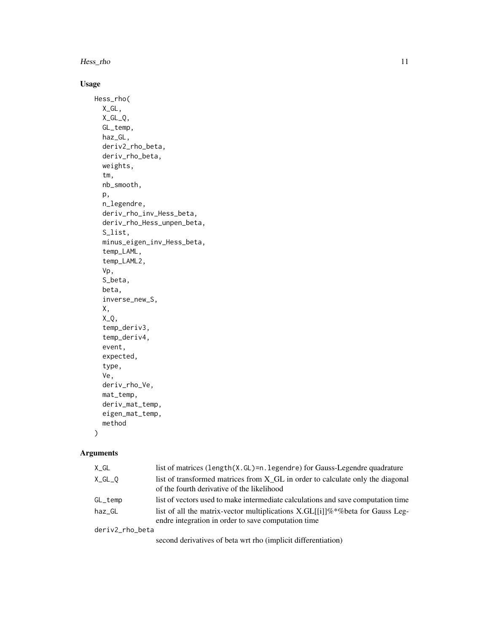Hess\_rho 11

### Usage

```
Hess_rho(
 X_GL,
  X_GL_Q,
 GL_temp,
  haz_GL,
  deriv2_rho_beta,
  deriv_rho_beta,
  weights,
  tm,
  nb_smooth,
  p,
  n_legendre,
  deriv_rho_inv_Hess_beta,
  deriv_rho_Hess_unpen_beta,
  S_list,
  minus_eigen_inv_Hess_beta,
  temp_LAML,
  temp_LAML2,
  Vp,
  S_beta,
  beta,
  inverse_new_S,
 X,
  X_Q,
  temp_deriv3,
  temp_deriv4,
  event,
  expected,
  type,
  Ve,
  deriv_rho_Ve,
 mat_temp,
  deriv_mat_temp,
  eigen_mat_temp,
 method
```
### Arguments

 $\mathcal{L}$ 

| X_GL            | list of matrices (length(X.GL)=n.legendre) for Gauss-Legendre quadrature                                   |
|-----------------|------------------------------------------------------------------------------------------------------------|
| X_GL_O          | list of transformed matrices from X_GL in order to calculate only the diagonal                             |
|                 | of the fourth derivative of the likelihood                                                                 |
| GL_temp         | list of vectors used to make intermediate calculations and save computation time                           |
| haz GL          | list of all the matrix-vector multiplications X.GL $\left[\frac{1}{1} \% \times \% \right]$ for Gauss Leg- |
|                 | endre integration in order to save computation time                                                        |
| deriv2_rho_beta |                                                                                                            |

second derivatives of beta wrt rho (implicit differentiation)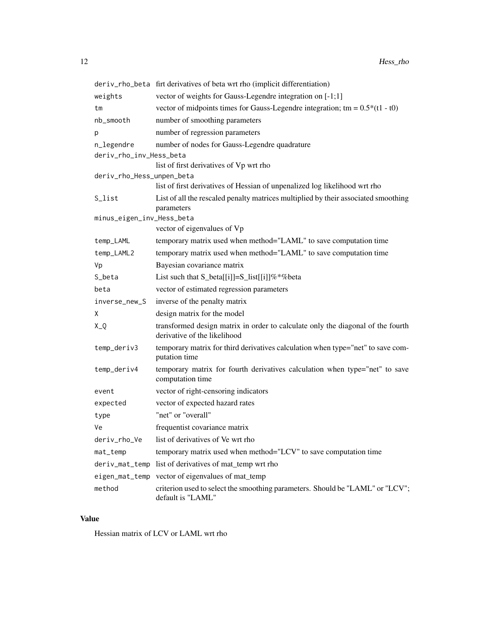|                           | deriv_rho_beta firt derivatives of beta wrt rho (implicit differentiation)                                      |  |
|---------------------------|-----------------------------------------------------------------------------------------------------------------|--|
| weights                   | vector of weights for Gauss-Legendre integration on [-1;1]                                                      |  |
| tm                        | vector of midpoints times for Gauss-Legendre integration; $tm = 0.5*(t1 - t0)$                                  |  |
| nb_smooth                 | number of smoothing parameters                                                                                  |  |
| р                         | number of regression parameters                                                                                 |  |
| n_legendre                | number of nodes for Gauss-Legendre quadrature                                                                   |  |
| deriv_rho_inv_Hess_beta   |                                                                                                                 |  |
|                           | list of first derivatives of Vp wrt rho                                                                         |  |
| deriv_rho_Hess_unpen_beta |                                                                                                                 |  |
|                           | list of first derivatives of Hessian of unpenalized log likelihood wrt rho                                      |  |
| S_list                    | List of all the rescaled penalty matrices multiplied by their associated smoothing<br>parameters                |  |
| minus_eigen_inv_Hess_beta |                                                                                                                 |  |
|                           | vector of eigenvalues of Vp                                                                                     |  |
| temp_LAML                 | temporary matrix used when method="LAML" to save computation time                                               |  |
| temp_LAML2                | temporary matrix used when method="LAML" to save computation time                                               |  |
| Vp                        | Bayesian covariance matrix                                                                                      |  |
| S_beta                    | List such that $S_{beta[[i]]=S_{list[[i]]}\%*\%beta$                                                            |  |
| beta                      | vector of estimated regression parameters                                                                       |  |
| inverse_new_S             | inverse of the penalty matrix                                                                                   |  |
| Χ                         | design matrix for the model                                                                                     |  |
| $X_Q$                     | transformed design matrix in order to calculate only the diagonal of the fourth<br>derivative of the likelihood |  |
| temp_deriv3               | temporary matrix for third derivatives calculation when type="net" to save com-<br>putation time                |  |
| temp_deriv4               | temporary matrix for fourth derivatives calculation when type="net" to save<br>computation time                 |  |
| event                     | vector of right-censoring indicators                                                                            |  |
| expected                  | vector of expected hazard rates                                                                                 |  |
| type                      | "net" or "overall"                                                                                              |  |
| Ve                        | frequentist covariance matrix                                                                                   |  |
| deriv_rho_Ve              | list of derivatives of Ve wrt rho                                                                               |  |
| mat_temp                  | temporary matrix used when method="LCV" to save computation time                                                |  |
| deriv_mat_temp            | list of derivatives of mat_temp wrt rho                                                                         |  |
| eigen_mat_temp            | vector of eigenvalues of mat_temp                                                                               |  |
| method                    | criterion used to select the smoothing parameters. Should be "LAML" or "LCV";<br>default is "LAML"              |  |

### Value

Hessian matrix of LCV or LAML wrt rho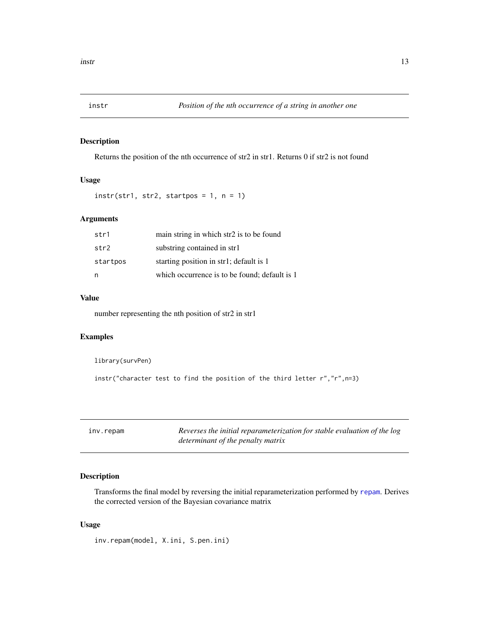<span id="page-12-0"></span>

### Description

Returns the position of the nth occurrence of str2 in str1. Returns 0 if str2 is not found

### Usage

```
instr(str1, str2, startpos = 1, n = 1)
```
### Arguments

| str1     | main string in which str2 is to be found      |
|----------|-----------------------------------------------|
| str2     | substring contained in str1                   |
| startpos | starting position in str1; default is 1       |
| n        | which occurrence is to be found; default is 1 |

### Value

number representing the nth position of str2 in str1

#### Examples

library(survPen)

instr("character test to find the position of the third letter r","r",n=3)

<span id="page-12-1"></span>

|  | inv.repam |
|--|-----------|
|  |           |

Reverses the initial reparameterization for stable evaluation of the log *determinant of the penalty matrix*

### Description

Transforms the final model by reversing the initial reparameterization performed by [repam](#page-23-1). Derives the corrected version of the Bayesian covariance matrix

#### Usage

inv.repam(model, X.ini, S.pen.ini)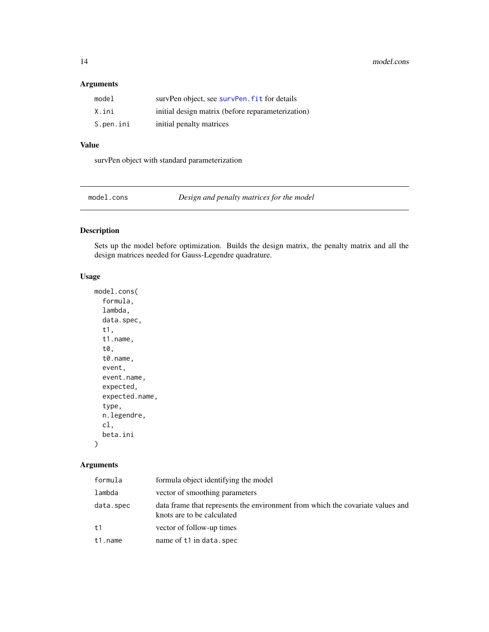### Arguments

| model     | survPen object, see survPen. fit for details      |
|-----------|---------------------------------------------------|
| X.ini     | initial design matrix (before reparameterization) |
| S.pen.ini | initial penalty matrices                          |

### Value

survPen object with standard parameterization

<span id="page-13-1"></span>model.cons *Design and penalty matrices for the model*

### Description

Sets up the model before optimization. Builds the design matrix, the penalty matrix and all the design matrices needed for Gauss-Legendre quadrature.

### Usage

```
model.cons(
  formula,
  lambda,
  data.spec,
  t1,
  t1.name,
  t0,
  t0.name,
  event,
  event.name,
  expected,
  expected.name,
  type,
  n.legendre,
  cl,
 beta.ini
)
```
### Arguments

| formula        | formula object identifying the model                                                                         |
|----------------|--------------------------------------------------------------------------------------------------------------|
| lambda         | vector of smoothing parameters                                                                               |
| data.spec      | data frame that represents the environment from which the covariate values and<br>knots are to be calculated |
| t <sub>1</sub> | vector of follow-up times                                                                                    |
| t1.name        | name of t1 in data.spec                                                                                      |

<span id="page-13-0"></span>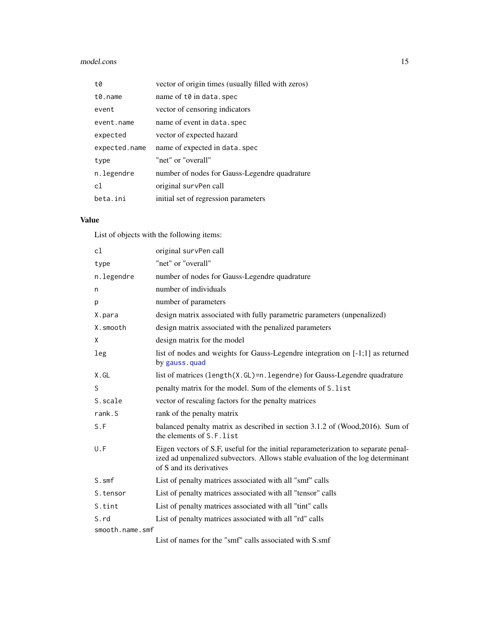### <span id="page-14-0"></span>model.cons 15

| t0               | vector of origin times (usually filled with zeros) |
|------------------|----------------------------------------------------|
| $t\theta$ . name | name of t0 in data.spec                            |
| event            | vector of censoring indicators                     |
| event.name       | name of event in data, spec                        |
| expected         | vector of expected hazard                          |
| expected.name    | name of expected in data. spec                     |
| type             | "net" or "overall"                                 |
| n.legendre       | number of nodes for Gauss-Legendre quadrature      |
| cl               | original survPen call                              |
| beta.ini         | initial set of regression parameters               |

### Value

List of objects with the following items:

| cl              | original survPen call                                                                                                                                                                             |
|-----------------|---------------------------------------------------------------------------------------------------------------------------------------------------------------------------------------------------|
| type            | "net" or "overall"                                                                                                                                                                                |
| n.legendre      | number of nodes for Gauss-Legendre quadrature                                                                                                                                                     |
| n               | number of individuals                                                                                                                                                                             |
| p               | number of parameters                                                                                                                                                                              |
| X.para          | design matrix associated with fully parametric parameters (unpenalized)                                                                                                                           |
| X.smooth        | design matrix associated with the penalized parameters                                                                                                                                            |
| X               | design matrix for the model                                                                                                                                                                       |
| leg             | list of nodes and weights for Gauss-Legendre integration on [-1;1] as returned<br>by gauss.quad                                                                                                   |
| X.GL            | list of matrices $(length(X.GL)=n.length(gendre))$ for Gauss-Legendre quadrature                                                                                                                  |
| S               | penalty matrix for the model. Sum of the elements of S. list                                                                                                                                      |
| S.scale         | vector of rescaling factors for the penalty matrices                                                                                                                                              |
| rank.S          | rank of the penalty matrix                                                                                                                                                                        |
| S.F             | balanced penalty matrix as described in section 3.1.2 of (Wood, 2016). Sum of<br>the elements of S.F. list                                                                                        |
| U.F             | Eigen vectors of S.F, useful for the initial reparameterization to separate penal-<br>ized ad unpenalized subvectors. Allows stable evaluation of the log determinant<br>of S and its derivatives |
| S.smf           | List of penalty matrices associated with all "smf" calls                                                                                                                                          |
| S.tensor        | List of penalty matrices associated with all "tensor" calls                                                                                                                                       |
| S.tint          | List of penalty matrices associated with all "tint" calls                                                                                                                                         |
| S.rd            | List of penalty matrices associated with all "rd" calls                                                                                                                                           |
| smooth.name.smf |                                                                                                                                                                                                   |

List of names for the "smf" calls associated with S.smf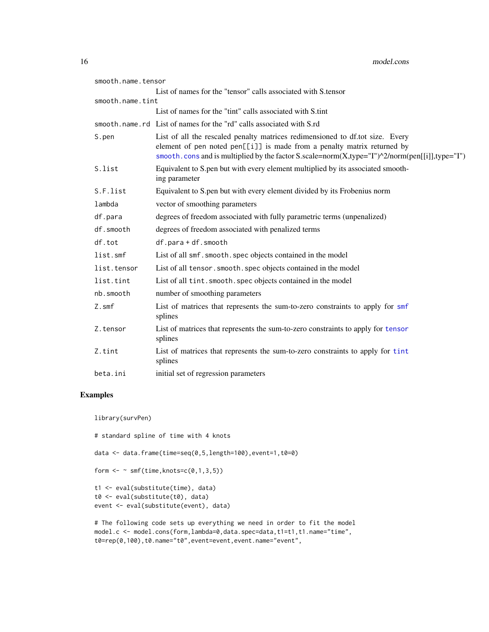<span id="page-15-0"></span>

| smooth.name.tensor |                                                                                                                                                                                                                                                            |
|--------------------|------------------------------------------------------------------------------------------------------------------------------------------------------------------------------------------------------------------------------------------------------------|
|                    | List of names for the "tensor" calls associated with S.tensor                                                                                                                                                                                              |
| smooth.name.tint   |                                                                                                                                                                                                                                                            |
|                    | List of names for the "tint" calls associated with S.tint                                                                                                                                                                                                  |
|                    | smooth, name, rd List of names for the "rd" calls associated with S.rd                                                                                                                                                                                     |
| S.pen              | List of all the rescaled penalty matrices redimensioned to df.tot size. Every<br>element of pen noted pen[[i]] is made from a penalty matrix returned by<br>smooth.cons and is multiplied by the factor S.scale=norm(X,type="I")^2/norm(pen[[i]],type="I") |
| S.list             | Equivalent to S.pen but with every element multiplied by its associated smooth-<br>ing parameter                                                                                                                                                           |
| S.F.list           | Equivalent to S.pen but with every element divided by its Frobenius norm                                                                                                                                                                                   |
| lambda             | vector of smoothing parameters                                                                                                                                                                                                                             |
| df.para            | degrees of freedom associated with fully parametric terms (unpenalized)                                                                                                                                                                                    |
| df.smooth          | degrees of freedom associated with penalized terms                                                                                                                                                                                                         |
| df.tot             | df.para+df.smooth                                                                                                                                                                                                                                          |
| list.smf           | List of all smf. smooth. spec objects contained in the model                                                                                                                                                                                               |
| list.tensor        | List of all tensor. smooth. spec objects contained in the model                                                                                                                                                                                            |
| list.tint          | List of all tint. smooth. spec objects contained in the model                                                                                                                                                                                              |
| nb.smooth          | number of smoothing parameters                                                                                                                                                                                                                             |
| Z.smf              | List of matrices that represents the sum-to-zero constraints to apply for smf<br>splines                                                                                                                                                                   |
| Z.tensor           | List of matrices that represents the sum-to-zero constraints to apply for tensor<br>splines                                                                                                                                                                |
| Z.tint             | List of matrices that represents the sum-to-zero constraints to apply for tint<br>splines                                                                                                                                                                  |
| beta.ini           | initial set of regression parameters                                                                                                                                                                                                                       |

### Examples

library(survPen)

```
# standard spline of time with 4 knots
```
data <- data.frame(time=seq(0,5,length=100),event=1,t0=0)

```
form \leq \sim smf(time, knots=c(0,1,3,5))
```

```
t1 <- eval(substitute(time), data)
t0 <- eval(substitute(t0), data)
event <- eval(substitute(event), data)
```
# The following code sets up everything we need in order to fit the model model.c <- model.cons(form,lambda=0,data.spec=data,t1=t1,t1.name="time", t0=rep(0,100),t0.name="t0",event=event,event.name="event",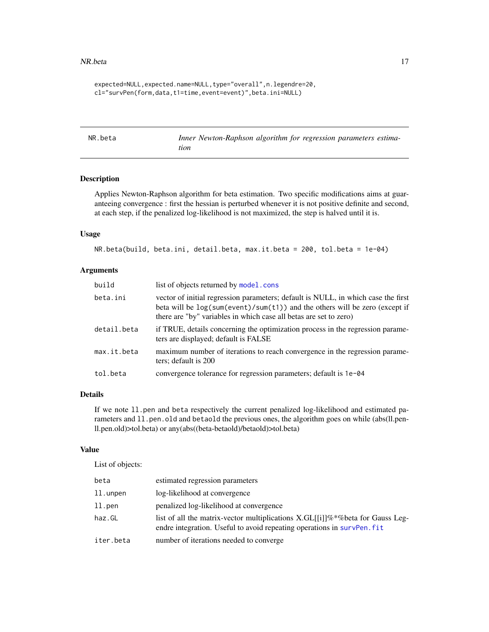#### <span id="page-16-0"></span>NR.beta and the contract of the contract of the contract of the contract of the contract of the contract of the contract of the contract of the contract of the contract of the contract of the contract of the contract of th

```
expected=NULL,expected.name=NULL,type="overall",n.legendre=20,
cl="survPen(form,data,t1=time,event=event)",beta.ini=NULL)
```
<span id="page-16-1"></span>NR.beta *Inner Newton-Raphson algorithm for regression parameters estimation*

#### Description

Applies Newton-Raphson algorithm for beta estimation. Two specific modifications aims at guaranteeing convergence : first the hessian is perturbed whenever it is not positive definite and second, at each step, if the penalized log-likelihood is not maximized, the step is halved until it is.

#### Usage

NR.beta(build, beta.ini, detail.beta, max.it.beta = 200, tol.beta = 1e-04)

#### Arguments

| build       | list of objects returned by model.cons                                                                                                                                                                                                  |
|-------------|-----------------------------------------------------------------------------------------------------------------------------------------------------------------------------------------------------------------------------------------|
| beta.ini    | vector of initial regression parameters; default is NULL, in which case the first<br>beta will be $log(sum(event)/sum(t1))$ and the others will be zero (except if<br>there are "by" variables in which case all betas are set to zero) |
| detail.beta | if TRUE, details concerning the optimization process in the regression parame-<br>ters are displayed; default is FALSE                                                                                                                  |
| max.it.beta | maximum number of iterations to reach convergence in the regression parame-<br>ters; default is 200                                                                                                                                     |
| tol.beta    | convergence tolerance for regression parameters; default is 1e-04                                                                                                                                                                       |

### Details

If we note ll.pen and beta respectively the current penalized log-likelihood and estimated parameters and 11.pen.old and betaold the previous ones, the algorithm goes on while (abs(ll.penll.pen.old)>tol.beta) or any(abs((beta-betaold)/betaold)>tol.beta)

#### Value

List of objects:

| beta      | estimated regression parameters                                                                                                                          |
|-----------|----------------------------------------------------------------------------------------------------------------------------------------------------------|
| ll.unpen  | log-likelihood at convergence                                                                                                                            |
| ll.pen    | penalized log-likelihood at convergence                                                                                                                  |
| haz.GL    | list of all the matrix-vector multiplications X.GL[[i]]%*%beta for Gauss Leg-<br>endre integration. Useful to avoid repeating operations in survPen. fit |
| iter.beta | number of iterations needed to converge.                                                                                                                 |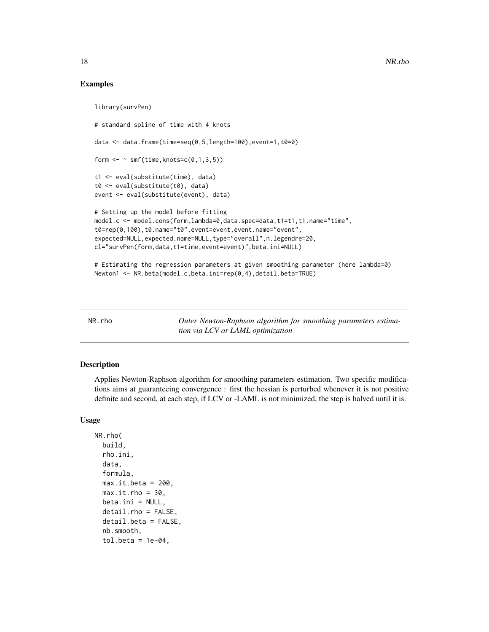#### Examples

```
library(survPen)
# standard spline of time with 4 knots
data <- data.frame(time=seq(0,5,length=100),event=1,t0=0)
form \leq \sim smf(time, knots=c(0,1,3,5))
t1 <- eval(substitute(time), data)
t0 <- eval(substitute(t0), data)
event <- eval(substitute(event), data)
# Setting up the model before fitting
model.c <- model.cons(form,lambda=0,data.spec=data,t1=t1,t1.name="time",
t0=rep(0,100),t0.name="t0",event=event,event.name="event",
expected=NULL,expected.name=NULL,type="overall",n.legendre=20,
cl="survPen(form,data,t1=time,event=event)",beta.ini=NULL)
```

```
# Estimating the regression parameters at given smoothing parameter (here lambda=0)
Newton1 <- NR.beta(model.c,beta.ini=rep(0,4),detail.beta=TRUE)
```
<span id="page-17-1"></span>

NR.rho *Outer Newton-Raphson algorithm for smoothing parameters estimation via LCV or LAML optimization*

#### Description

Applies Newton-Raphson algorithm for smoothing parameters estimation. Two specific modifications aims at guaranteeing convergence : first the hessian is perturbed whenever it is not positive definite and second, at each step, if LCV or -LAML is not minimized, the step is halved until it is.

### Usage

```
NR.rho(
 build,
  rho.ini,
  data,
  formula,
  max.it.beta = 200,
 max.it.rho = 30.
 beta.ini = NULL,
  detail.rho = FALSE,
  detail.beta = FALSE,
  nb.smooth,
  tol.beta = 1e-04,
```
<span id="page-17-0"></span>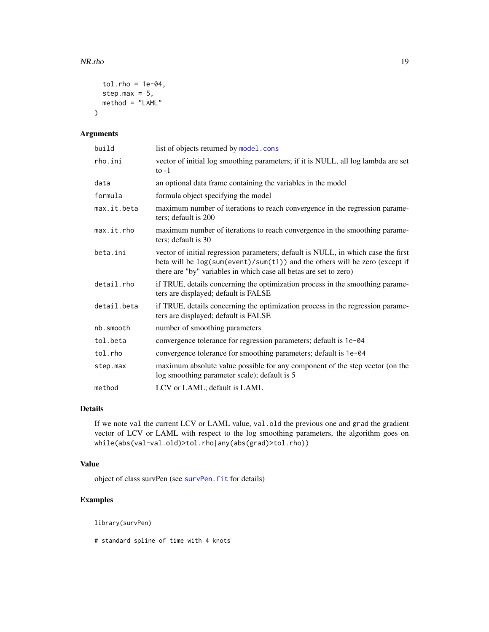#### <span id="page-18-0"></span>NR.rho 19

```
tol.rho = 1e-04,step.max = 5,
  method = "LAML"\mathcal{L}
```
### Arguments

| build       | list of objects returned by model.cons                                                                                                                                                                                                |
|-------------|---------------------------------------------------------------------------------------------------------------------------------------------------------------------------------------------------------------------------------------|
| rho.ini     | vector of initial log smoothing parameters; if it is NULL, all log lambda are set<br>to $-1$                                                                                                                                          |
| data        | an optional data frame containing the variables in the model                                                                                                                                                                          |
| formula     | formula object specifying the model                                                                                                                                                                                                   |
| max.it.beta | maximum number of iterations to reach convergence in the regression parame-<br>ters; default is 200                                                                                                                                   |
| max.it.rho  | maximum number of iterations to reach convergence in the smoothing parame-<br>ters; default is 30                                                                                                                                     |
| beta.ini    | vector of initial regression parameters; default is NULL, in which case the first<br>beta will be log(sum(event)/sum(t1)) and the others will be zero (except if<br>there are "by" variables in which case all betas are set to zero) |
| detail.rho  | if TRUE, details concerning the optimization process in the smoothing parame-<br>ters are displayed; default is FALSE                                                                                                                 |
| detail.beta | if TRUE, details concerning the optimization process in the regression parame-<br>ters are displayed; default is FALSE                                                                                                                |
| nb.smooth   | number of smoothing parameters                                                                                                                                                                                                        |
| tol.beta    | convergence tolerance for regression parameters; default is 1e-04                                                                                                                                                                     |
| tol.rho     | convergence tolerance for smoothing parameters; default is 1e-04                                                                                                                                                                      |
| step.max    | maximum absolute value possible for any component of the step vector (on the<br>log smoothing parameter scale); default is 5                                                                                                          |
| method      | LCV or LAML; default is LAML                                                                                                                                                                                                          |

### Details

If we note val the current LCV or LAML value, val.old the previous one and grad the gradient vector of LCV or LAML with respect to the log smoothing parameters, the algorithm goes on while(abs(val-val.old)>tol.rho|any(abs(grad)>tol.rho))

### Value

object of class survPen (see [survPen.fit](#page-42-1) for details)

### Examples

library(survPen)

# standard spline of time with 4 knots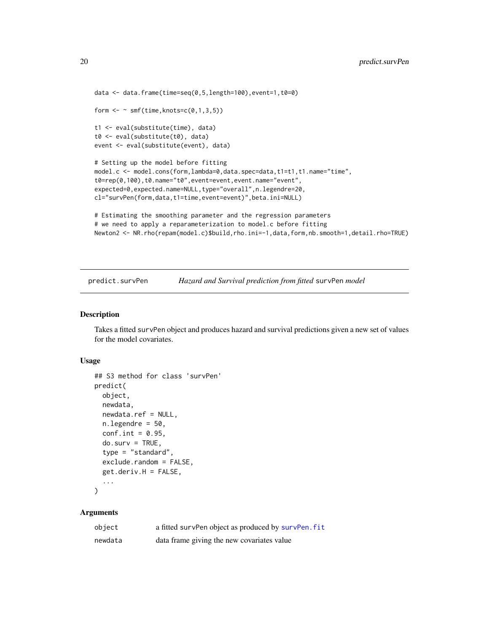```
data <- data.frame(time=seq(0,5,length=100),event=1,t0=0)
form \leq \sim smf(time, knots=c(0,1,3,5))
t1 <- eval(substitute(time), data)
t0 <- eval(substitute(t0), data)
event <- eval(substitute(event), data)
# Setting up the model before fitting
model.c <- model.cons(form,lambda=0,data.spec=data,t1=t1,t1.name="time",
t0=rep(0,100),t0.name="t0",event=event,event.name="event",
expected=0,expected.name=NULL,type="overall",n.legendre=20,
cl="survPen(form,data,t1=time,event=event)",beta.ini=NULL)
# Estimating the smoothing parameter and the regression parameters
# we need to apply a reparameterization to model.c before fitting
Newton2 <- NR.rho(repam(model.c)$build,rho.ini=-1,data,form,nb.smooth=1,detail.rho=TRUE)
```
predict.survPen *Hazard and Survival prediction from fitted* survPen *model*

#### Description

Takes a fitted survPen object and produces hazard and survival predictions given a new set of values for the model covariates.

#### Usage

```
## S3 method for class 'survPen'
predict(
  object,
  newdata,
  newdata.ref = NULL,
  nulegendre = 50,
  conf.int = 0.95,do.surv = TRUE,type = "standard",
  exclude.random = FALSE,
  get.deriv.H = FALSE,...
\lambda
```
#### Arguments

| object  | a fitted survPen object as produced by survPen. fit |
|---------|-----------------------------------------------------|
| newdata | data frame giving the new covariates value          |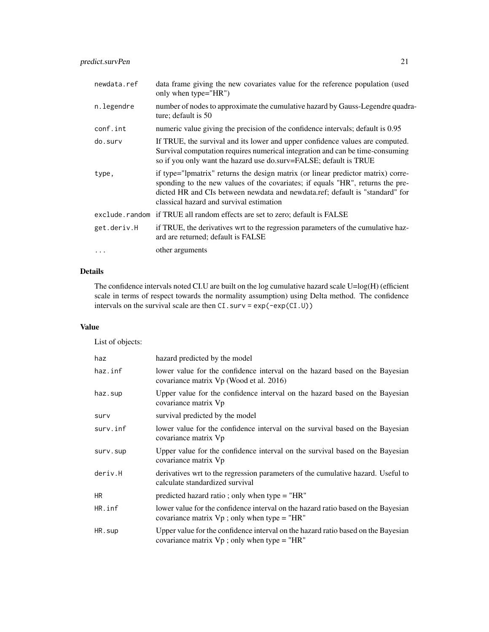| newdata.ref | data frame giving the new covariates value for the reference population (used<br>only when type="HR")                                                                                                                                                                                          |
|-------------|------------------------------------------------------------------------------------------------------------------------------------------------------------------------------------------------------------------------------------------------------------------------------------------------|
| n.legendre  | number of nodes to approximate the cumulative hazard by Gauss-Legendre quadra-<br>ture; default is 50                                                                                                                                                                                          |
| conf.int    | numeric value giving the precision of the confidence intervals; default is 0.95                                                                                                                                                                                                                |
| do.surv     | If TRUE, the survival and its lower and upper confidence values are computed.<br>Survival computation requires numerical integration and can be time-consuming<br>so if you only want the hazard use do.surv=FALSE; default is TRUE                                                            |
| type,       | if type="lpmatrix" returns the design matrix (or linear predictor matrix) corre-<br>sponding to the new values of the covariates; if equals "HR", returns the pre-<br>dicted HR and CIs between newdata and newdata.ref; default is "standard" for<br>classical hazard and survival estimation |
|             | exclude. random if TRUE all random effects are set to zero; default is FALSE                                                                                                                                                                                                                   |
| get.deriv.H | if TRUE, the derivatives wrt to the regression parameters of the cumulative haz-<br>ard are returned; default is FALSE                                                                                                                                                                         |
| $\cdots$    | other arguments                                                                                                                                                                                                                                                                                |

#### Details

The confidence intervals noted CI.U are built on the log cumulative hazard scale U=log(H) (efficient scale in terms of respect towards the normality assumption) using Delta method. The confidence intervals on the survival scale are then CI.surv = exp(-exp(CI.U))

### Value

List of objects:

| haz      | hazard predicted by the model                                                                                                       |
|----------|-------------------------------------------------------------------------------------------------------------------------------------|
| haz.inf  | lower value for the confidence interval on the hazard based on the Bayesian<br>covariance matrix Vp (Wood et al. 2016)              |
| haz.sup  | Upper value for the confidence interval on the hazard based on the Bayesian<br>covariance matrix Vp                                 |
| surv     | survival predicted by the model                                                                                                     |
| surv.inf | lower value for the confidence interval on the survival based on the Bayesian<br>covariance matrix Vp                               |
| surv.sup | Upper value for the confidence interval on the survival based on the Bayesian<br>covariance matrix Vp                               |
| deriv.H  | derivatives wrt to the regression parameters of the cumulative hazard. Useful to<br>calculate standardized survival                 |
| HR.      | predicted hazard ratio; only when type $=$ "HR"                                                                                     |
| HR.inf   | lower value for the confidence interval on the hazard ratio based on the Bayesian<br>covariance matrix $Vp$ ; only when type = "HR" |
| HR.sup   | Upper value for the confidence interval on the hazard ratio based on the Bayesian<br>covariance matrix $Vp$ ; only when type = "HR" |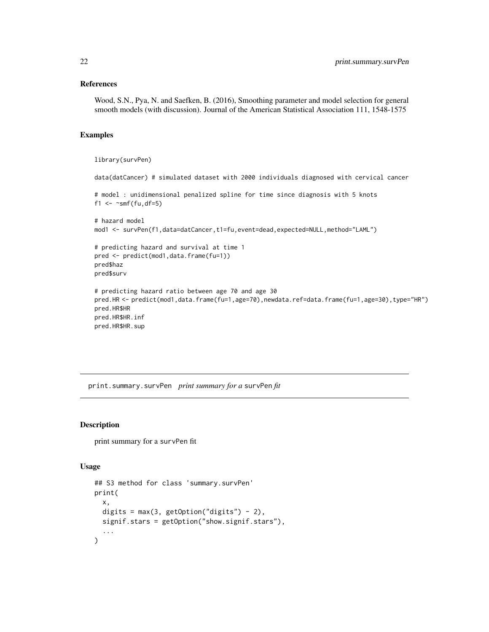#### <span id="page-21-0"></span>References

Wood, S.N., Pya, N. and Saefken, B. (2016), Smoothing parameter and model selection for general smooth models (with discussion). Journal of the American Statistical Association 111, 1548-1575

#### Examples

```
library(survPen)
data(datCancer) # simulated dataset with 2000 individuals diagnosed with cervical cancer
# model : unidimensional penalized spline for time since diagnosis with 5 knots
f1 \leq \sim smf(fu,df=5)
```

```
# hazard model
mod1 <- survPen(f1,data=datCancer,t1=fu,event=dead,expected=NULL,method="LAML")
```

```
# predicting hazard and survival at time 1
pred <- predict(mod1,data.frame(fu=1))
pred$haz
pred$surv
```

```
# predicting hazard ratio between age 70 and age 30
pred.HR <- predict(mod1,data.frame(fu=1,age=70),newdata.ref=data.frame(fu=1,age=30),type="HR")
pred.HR$HR
pred.HR$HR.inf
pred.HR$HR.sup
```
print.summary.survPen *print summary for a* survPen *fit*

#### Description

print summary for a survPen fit

#### Usage

```
## S3 method for class 'summary.survPen'
print(
 x,
 digits = max(3, getOption("digits") - 2),signif.stars = getOption("show.signif.stars"),
  ...
)
```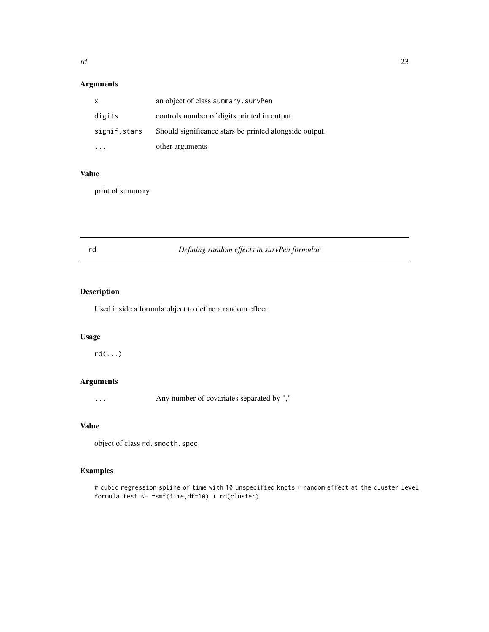### <span id="page-22-0"></span>Arguments

| $\mathsf{x}$ | an object of class summary. survPen                    |
|--------------|--------------------------------------------------------|
| digits       | controls number of digits printed in output.           |
| signif.stars | Should significance stars be printed alongside output. |
|              | other arguments                                        |

### Value

print of summary

<span id="page-22-1"></span>rd *Defining random effects in survPen formulae*

### Description

Used inside a formula object to define a random effect.

### Usage

rd(...)

### Arguments

... Any number of covariates separated by ","

### Value

object of class rd.smooth.spec

### Examples

# cubic regression spline of time with 10 unspecified knots + random effect at the cluster level formula.test <- ~smf(time,df=10) + rd(cluster)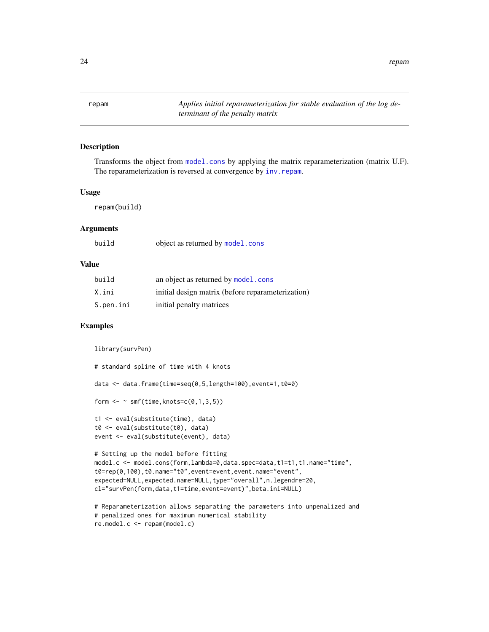<span id="page-23-0"></span>24 repam

<span id="page-23-1"></span>repam *Applies initial reparameterization for stable evaluation of the log determinant of the penalty matrix*

### Description

Transforms the object from [model.cons](#page-13-1) by applying the matrix reparameterization (matrix U.F). The reparameterization is reversed at convergence by inv. repam.

#### Usage

repam(build)

### Arguments

| build | object as returned by model.cons |  |  |  |
|-------|----------------------------------|--|--|--|
|-------|----------------------------------|--|--|--|

#### Value

| build     | an object as returned by model.cons               |
|-----------|---------------------------------------------------|
| X.ini     | initial design matrix (before reparameterization) |
| S.pen.ini | initial penalty matrices                          |

#### Examples

```
library(survPen)
# standard spline of time with 4 knots
```
data <- data.frame(time=seq(0,5,length=100),event=1,t0=0)

```
form \leq \sim smf(time, knots=c(0,1,3,5))
```

```
t1 <- eval(substitute(time), data)
t0 <- eval(substitute(t0), data)
event <- eval(substitute(event), data)
```

```
# Setting up the model before fitting
model.c <- model.cons(form,lambda=0,data.spec=data,t1=t1,t1.name="time",
t0=rep(0,100),t0.name="t0",event=event,event.name="event",
expected=NULL, expected.name=NULL, type="overall", n.legendre=20,
cl="survPen(form,data,t1=time,event=event)",beta.ini=NULL)
```

```
# Reparameterization allows separating the parameters into unpenalized and
# penalized ones for maximum numerical stability
re.model.c <- repam(model.c)
```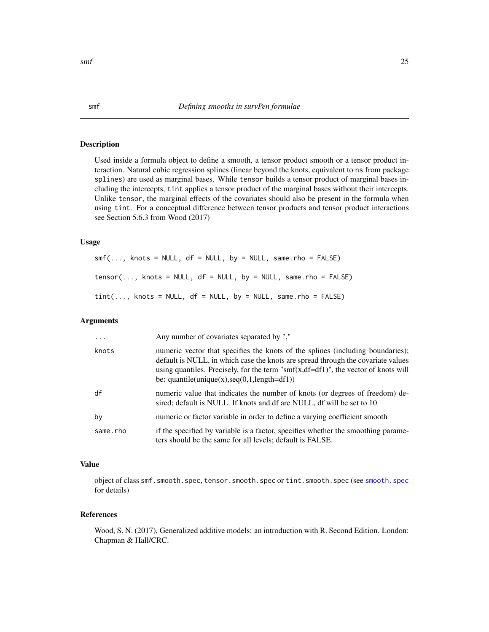### <span id="page-24-2"></span>Description

Used inside a formula object to define a smooth, a tensor product smooth or a tensor product interaction. Natural cubic regression splines (linear beyond the knots, equivalent to ns from package splines) are used as marginal bases. While tensor builds a tensor product of marginal bases including the intercepts, tint applies a tensor product of the marginal bases without their intercepts. Unlike tensor, the marginal effects of the covariates should also be present in the formula when using tint. For a conceptual difference between tensor products and tensor product interactions see Section 5.6.3 from Wood (2017)

#### Usage

```
smf(\ldots, knots = NULL, df = NULL, by = NULL, same.rho = FALSE)tensor(..., knots = NULL, df = NULL, by = NULL, same.tint(..., knots = NULL, df = NULL, by = NULL, same.rho = FALSE)
```
### Arguments

| .        | Any number of covariates separated by ","                                                                                                                                                                                                                                                                   |
|----------|-------------------------------------------------------------------------------------------------------------------------------------------------------------------------------------------------------------------------------------------------------------------------------------------------------------|
| knots    | numeric vector that specifies the knots of the splines (including boundaries);<br>default is NULL, in which case the knots are spread through the covariate values<br>using quantiles. Precisely, for the term "smf(x,df=df1)", the vector of knots will<br>be: $quantile(unique(x), seq(0,1, length=df1))$ |
| df       | numeric value that indicates the number of knots (or degrees of freedom) de-<br>sired; default is NULL. If knots and df are NULL, df will be set to 10                                                                                                                                                      |
| by       | numeric or factor variable in order to define a varying coefficient smooth                                                                                                                                                                                                                                  |
| same.rho | if the specified by variable is a factor, specifies whether the smoothing parame-<br>ters should be the same for all levels; default is FALSE.                                                                                                                                                              |

#### Value

object of class smf.[smooth.spec](#page-28-1), tensor.smooth.spec or tint.smooth.spec (see smooth.spec for details)

### References

Wood, S. N. (2017), Generalized additive models: an introduction with R. Second Edition. London: Chapman & Hall/CRC.

<span id="page-24-1"></span><span id="page-24-0"></span>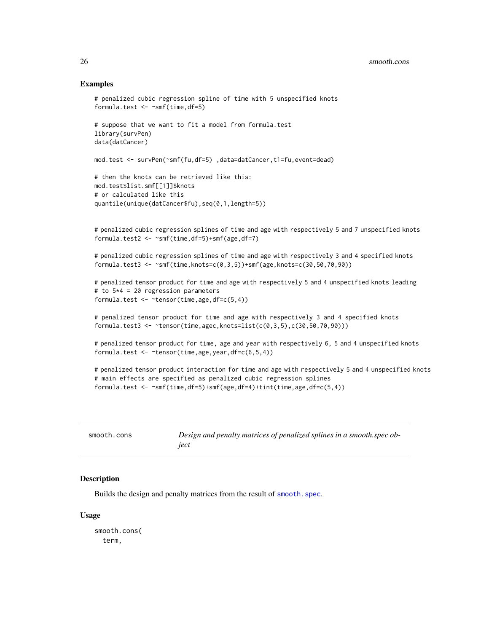#### Examples

```
# penalized cubic regression spline of time with 5 unspecified knots
formula.test \leq \sim smf(time, df=5)
# suppose that we want to fit a model from formula.test
library(survPen)
data(datCancer)
mod.test <- survPen(~smf(fu,df=5) ,data=datCancer,t1=fu,event=dead)
# then the knots can be retrieved like this:
mod.test$list.smf[[1]]$knots
# or calculated like this
quantile(unique(datCancer$fu),seq(0,1,length=5))
# penalized cubic regression splines of time and age with respectively 5 and 7 unspecified knots
formula.test2 <- ~smf(time,df=5)+smf(age,df=7)
# penalized cubic regression splines of time and age with respectively 3 and 4 specified knots
formula.test3 <- ~smf(time,knots=c(0,3,5))+smf(age,knots=c(30,50,70,90))
# penalized tensor product for time and age with respectively 5 and 4 unspecified knots leading
# to 5*4 = 20 regression parameters
formula.test <- ~tensor(time,age,df=c(5,4))
# penalized tensor product for time and age with respectively 3 and 4 specified knots
formula.test3 <- \simtensor(time,agec,knots=list(c(0,3,5),c(30,50,70,90)))
# penalized tensor product for time, age and year with respectively 6, 5 and 4 unspecified knots
formula.test <- ~tensor(time,age,year,df=c(6,5,4))
# penalized tensor product interaction for time and age with respectively 5 and 4 unspecified knots
# main effects are specified as penalized cubic regression splines
```

```
formula.test \leq \leqsmf(time,df=5)+smf(age,df=4)+tint(time,age,df=c(5,4))
```
<span id="page-25-1"></span>

| smooth.cons | Design and penalty matrices of penalized splines in a smooth spec ob- |
|-------------|-----------------------------------------------------------------------|
|             | iect                                                                  |

### Description

Builds the design and penalty matrices from the result of smooth. spec.

#### Usage

smooth.cons( term,

<span id="page-25-0"></span>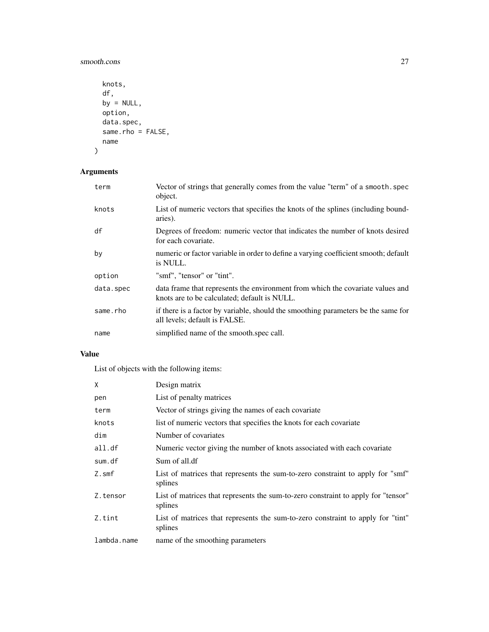smooth.cons 27

```
knots,
df,
by = NULL,
option,
data.spec,
same.rho = FALSE,
name
```
### Arguments

)

| term      | Vector of strings that generally comes from the value "term" of a smooth, spec<br>object.                                      |
|-----------|--------------------------------------------------------------------------------------------------------------------------------|
| knots     | List of numeric vectors that specifies the knots of the splines (including bound-<br>aries).                                   |
| df        | Degrees of freedom: numeric vector that indicates the number of knots desired<br>for each covariate.                           |
| by        | numeric or factor variable in order to define a varying coefficient smooth; default<br>is NULL.                                |
| option    | "smf", "tensor" or "tint".                                                                                                     |
| data.spec | data frame that represents the environment from which the covariate values and<br>knots are to be calculated; default is NULL. |
| same.rho  | if there is a factor by variable, should the smoothing parameters be the same for<br>all levels; default is FALSE.             |
| name      | simplified name of the smooth.spec call.                                                                                       |

### Value

List of objects with the following items:

| X           | Design matrix                                                                                |
|-------------|----------------------------------------------------------------------------------------------|
| pen         | List of penalty matrices                                                                     |
| term        | Vector of strings giving the names of each covariate                                         |
| knots       | list of numeric vectors that specifies the knots for each covariate                          |
| dim         | Number of covariates                                                                         |
| all.df      | Numeric vector giving the number of knots associated with each covariate                     |
| sum.df      | Sum of all.df                                                                                |
| Z.smf       | List of matrices that represents the sum-to-zero constraint to apply for "smf"<br>splines    |
| Z.tensor    | List of matrices that represents the sum-to-zero constraint to apply for "tensor"<br>splines |
| Z.tint      | List of matrices that represents the sum-to-zero constraint to apply for "tint"<br>splines   |
| lambda.name | name of the smoothing parameters                                                             |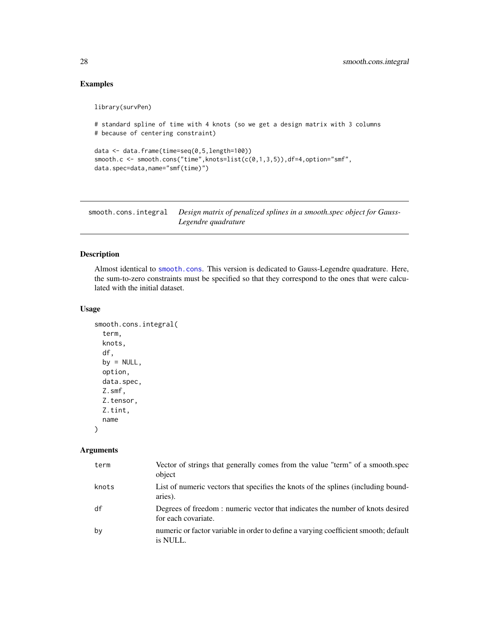### <span id="page-27-0"></span>Examples

library(survPen)

```
# standard spline of time with 4 knots (so we get a design matrix with 3 columns
# because of centering constraint)
data <- data.frame(time=seq(0,5,length=100))
smooth.c <- smooth.cons("time",knots=list(c(0,1,3,5)),df=4,option="smf",
data.spec=data,name="smf(time)")
```
smooth.cons.integral *Design matrix of penalized splines in a smooth.spec object for Gauss-Legendre quadrature*

### Description

Almost identical to [smooth.cons](#page-25-1). This version is dedicated to Gauss-Legendre quadrature. Here, the sum-to-zero constraints must be specified so that they correspond to the ones that were calculated with the initial dataset.

#### Usage

```
smooth.cons.integral(
  term,
 knots,
 df,
 by = NULL,
 option,
 data.spec,
 Z.smf,
 Z.tensor,
 Z.tint,
 name
)
```
#### Arguments

| term  | Vector of strings that generally comes from the value "term" of a smooth.spec<br>object              |
|-------|------------------------------------------------------------------------------------------------------|
| knots | List of numeric vectors that specifies the knots of the splines (including bound-<br>aries).         |
| df    | Degrees of freedom: numeric vector that indicates the number of knots desired<br>for each covariate. |
| by    | numeric or factor variable in order to define a varying coefficient smooth; default<br>is NULL.      |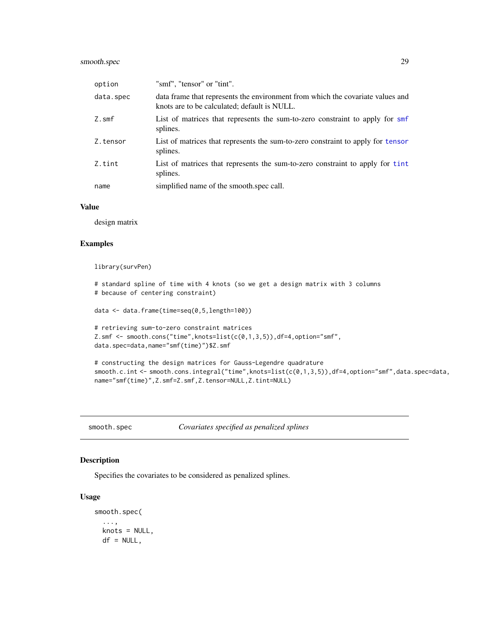### <span id="page-28-0"></span>smooth.spec 29

| option    | "smf", "tensor" or "tint".                                                                                                     |
|-----------|--------------------------------------------------------------------------------------------------------------------------------|
| data.spec | data frame that represents the environment from which the covariate values and<br>knots are to be calculated; default is NULL. |
| Z.smf     | List of matrices that represents the sum-to-zero constraint to apply for smf<br>splines.                                       |
| Z.tensor  | List of matrices that represents the sum-to-zero constraint to apply for tensor<br>splines.                                    |
| Z.tint    | List of matrices that represents the sum-to-zero constraint to apply for tint<br>splines.                                      |
| name      | simplified name of the smooth spec call.                                                                                       |

### Value

design matrix

### Examples

library(survPen)

```
# standard spline of time with 4 knots (so we get a design matrix with 3 columns
# because of centering constraint)
```

```
data <- data.frame(time=seq(0,5,length=100))
```

```
# retrieving sum-to-zero constraint matrices
Z.smf \leq smooth.cons("time", knots=list(c(0,1,3,5)),df=4,option="smf",
data.spec=data,name="smf(time)")$Z.smf
```

```
# constructing the design matrices for Gauss-Legendre quadrature
smooth.c.int <- smooth.cons.integral("time",knots=list(c(0,1,3,5)),df=4,option="smf",data.spec=data,
name="smf(time)",Z.smf=Z.smf,Z.tensor=NULL,Z.tint=NULL)
```
<span id="page-28-1"></span>smooth.spec *Covariates specified as penalized splines*

### Description

Specifies the covariates to be considered as penalized splines.

#### Usage

smooth.spec( ..., knots = NULL,  $df = NULL,$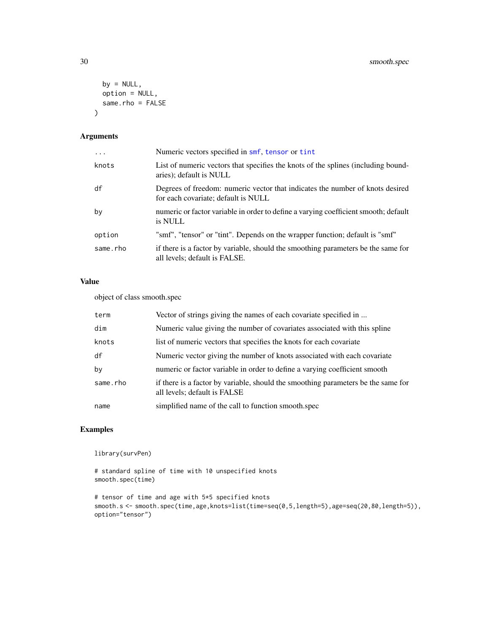```
by = NULL,
  option = NULL,
  same.rho = FALSE
\mathcal{L}
```
### Arguments

| $\cdots$ | Numeric vectors specified in smf, tensor or tint                                                                     |
|----------|----------------------------------------------------------------------------------------------------------------------|
| knots    | List of numeric vectors that specifies the knots of the splines (including bound-<br>aries); default is NULL         |
| df       | Degrees of freedom: numeric vector that indicates the number of knots desired<br>for each covariate; default is NULL |
| by       | numeric or factor variable in order to define a varying coefficient smooth; default<br>is NULL                       |
| option   | "smf", "tensor" or "tint". Depends on the wrapper function; default is "smf"                                         |
| same.rho | if there is a factor by variable, should the smoothing parameters be the same for<br>all levels; default is FALSE.   |

### Value

object of class smooth.spec

| term     | Vector of strings giving the names of each covariate specified in                                                 |
|----------|-------------------------------------------------------------------------------------------------------------------|
| dim      | Numeric value giving the number of covariates associated with this spline                                         |
| knots    | list of numeric vectors that specifies the knots for each covariate                                               |
| df       | Numeric vector giving the number of knots associated with each covariate                                          |
| by       | numeric or factor variable in order to define a varying coefficient smooth                                        |
| same.rho | if there is a factor by variable, should the smoothing parameters be the same for<br>all levels; default is FALSE |
| name     | simplified name of the call to function smooth.spec                                                               |

### Examples

library(survPen)

```
# standard spline of time with 10 unspecified knots
smooth.spec(time)
```
# tensor of time and age with 5\*5 specified knots smooth.s <- smooth.spec(time,age,knots=list(time=seq(0,5,length=5),age=seq(20,80,length=5)), option="tensor")

<span id="page-29-0"></span>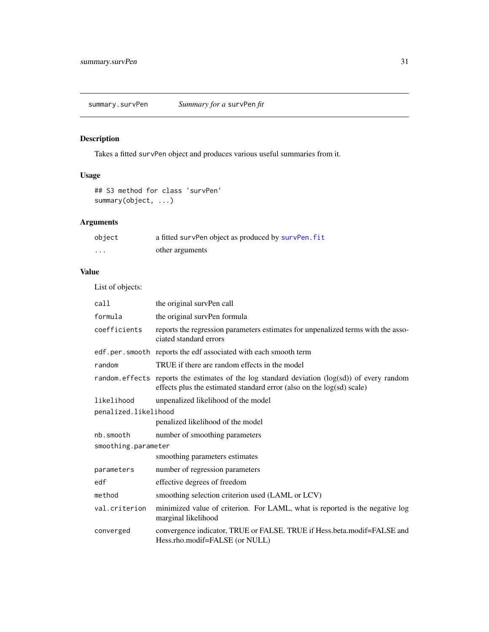### <span id="page-30-0"></span>Description

Takes a fitted survPen object and produces various useful summaries from it.

### Usage

```
## S3 method for class 'survPen'
summary(object, ...)
```
### Arguments

| object   | a fitted survPen object as produced by survPen. fit |
|----------|-----------------------------------------------------|
| $\cdots$ | other arguments                                     |

### Value

List of objects:

| call                 | the original survPen call                                                                                                                                              |  |
|----------------------|------------------------------------------------------------------------------------------------------------------------------------------------------------------------|--|
| formula              | the original survPen formula                                                                                                                                           |  |
| coefficients         | reports the regression parameters estimates for unpenalized terms with the asso-<br>ciated standard errors                                                             |  |
|                      | edf.per.smooth reports the edf associated with each smooth term                                                                                                        |  |
| random               | TRUE if there are random effects in the model                                                                                                                          |  |
|                      | random. effects reports the estimates of the log standard deviation (log(sd)) of every random<br>effects plus the estimated standard error (also on the log(sd) scale) |  |
| likelihood           | unpenalized likelihood of the model                                                                                                                                    |  |
| penalized.likelihood |                                                                                                                                                                        |  |
|                      | penalized likelihood of the model                                                                                                                                      |  |
| nb.smooth            | number of smoothing parameters                                                                                                                                         |  |
| smoothing.parameter  |                                                                                                                                                                        |  |
|                      | smoothing parameters estimates                                                                                                                                         |  |
| parameters           | number of regression parameters                                                                                                                                        |  |
| edf                  | effective degrees of freedom                                                                                                                                           |  |
| method               | smoothing selection criterion used (LAML or LCV)                                                                                                                       |  |
| val.criterion        | minimized value of criterion. For LAML, what is reported is the negative log<br>marginal likelihood                                                                    |  |
| converged            | convergence indicator, TRUE or FALSE. TRUE if Hess.beta.modif=FALSE and<br>Hess.rho.modif=FALSE (or NULL)                                                              |  |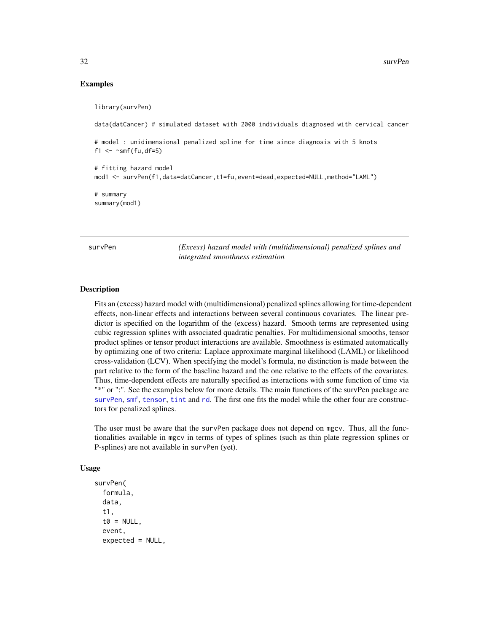#### Examples

library(survPen)

data(datCancer) # simulated dataset with 2000 individuals diagnosed with cervical cancer

# model : unidimensional penalized spline for time since diagnosis with 5 knots f1  $\leq$   $\sim$  smf(fu,df=5)

# fitting hazard model mod1 <- survPen(f1,data=datCancer,t1=fu,event=dead,expected=NULL,method="LAML")

# summary summary(mod1)

<span id="page-31-1"></span>survPen *(Excess) hazard model with (multidimensional) penalized splines and integrated smoothness estimation*

### Description

Fits an (excess) hazard model with (multidimensional) penalized splines allowing for time-dependent effects, non-linear effects and interactions between several continuous covariates. The linear predictor is specified on the logarithm of the (excess) hazard. Smooth terms are represented using cubic regression splines with associated quadratic penalties. For multidimensional smooths, tensor product splines or tensor product interactions are available. Smoothness is estimated automatically by optimizing one of two criteria: Laplace approximate marginal likelihood (LAML) or likelihood cross-validation (LCV). When specifying the model's formula, no distinction is made between the part relative to the form of the baseline hazard and the one relative to the effects of the covariates. Thus, time-dependent effects are naturally specified as interactions with some function of time via "\*" or ":". See the examples below for more details. The main functions of the survPen package are [survPen](#page-31-1), [smf](#page-24-1), [tensor](#page-24-2), [tint](#page-24-2) and [rd](#page-22-1). The first one fits the model while the other four are constructors for penalized splines.

The user must be aware that the survPen package does not depend on mgcv. Thus, all the functionalities available in mgcv in terms of types of splines (such as thin plate regression splines or P-splines) are not available in survPen (yet).

#### Usage

```
survPen(
  formula,
  data,
  t1,
  t0 = NULL,event,
  expected = NULL,
```
<span id="page-31-0"></span>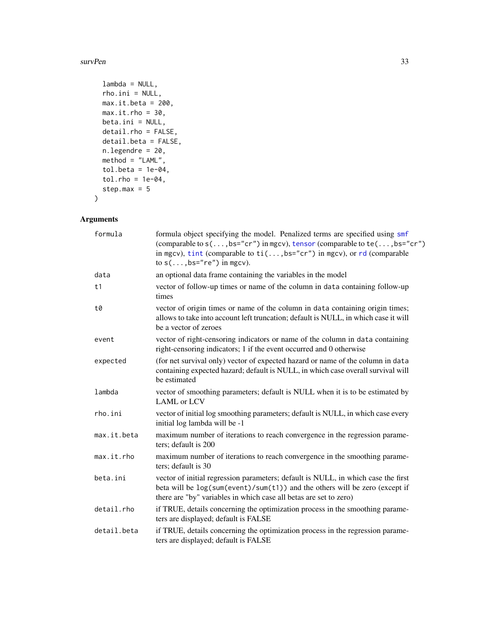```
lambda = NULL,rho.ini = NULL,
 max.it.beta = 200,max.it.rho = 30,beta.ini = NULL,
 detail.rho = FALSE,
 detail.beta = FALSE,
 n.legendre = 20,
 method = "LAML",tol.beta = 1e-04,
  tol.rho = 1e-04,step.max = 5\mathcal{L}
```
### Arguments

| formula     | formula object specifying the model. Penalized terms are specified using smf<br>(comparable to $s(\ldots,bs="cr'')$ in mgcv), tensor (comparable to te(, bs="cr")<br>in mgcv), tint (comparable to $ti$ (, bs="cr") in mgcv), or rd (comparable<br>to $s(\ldots,bs="re")$ in mgcv). |
|-------------|-------------------------------------------------------------------------------------------------------------------------------------------------------------------------------------------------------------------------------------------------------------------------------------|
| data        | an optional data frame containing the variables in the model                                                                                                                                                                                                                        |
| t1          | vector of follow-up times or name of the column in data containing follow-up<br>times                                                                                                                                                                                               |
| t0          | vector of origin times or name of the column in data containing origin times;<br>allows to take into account left truncation; default is NULL, in which case it will<br>be a vector of zeroes                                                                                       |
| event       | vector of right-censoring indicators or name of the column in data containing<br>right-censoring indicators; 1 if the event occurred and 0 otherwise                                                                                                                                |
| expected    | (for net survival only) vector of expected hazard or name of the column in data<br>containing expected hazard; default is NULL, in which case overall survival will<br>be estimated                                                                                                 |
| lambda      | vector of smoothing parameters; default is NULL when it is to be estimated by<br><b>LAML</b> or LCV                                                                                                                                                                                 |
| rho.ini     | vector of initial log smoothing parameters; default is NULL, in which case every<br>initial log lambda will be -1                                                                                                                                                                   |
| max.it.beta | maximum number of iterations to reach convergence in the regression parame-<br>ters; default is 200                                                                                                                                                                                 |
| max.it      | maximum number of iterations to reach convergence in the smoothing parame-<br>ters; default is 30                                                                                                                                                                                   |
| beta.ini    | vector of initial regression parameters; default is NULL, in which case the first<br>beta will be log(sum(event)/sum(t1)) and the others will be zero (except if<br>there are "by" variables in which case all betas are set to zero)                                               |
| detail.rho  | if TRUE, details concerning the optimization process in the smoothing parame-<br>ters are displayed; default is FALSE                                                                                                                                                               |
| detail.beta | if TRUE, details concerning the optimization process in the regression parame-<br>ters are displayed; default is FALSE                                                                                                                                                              |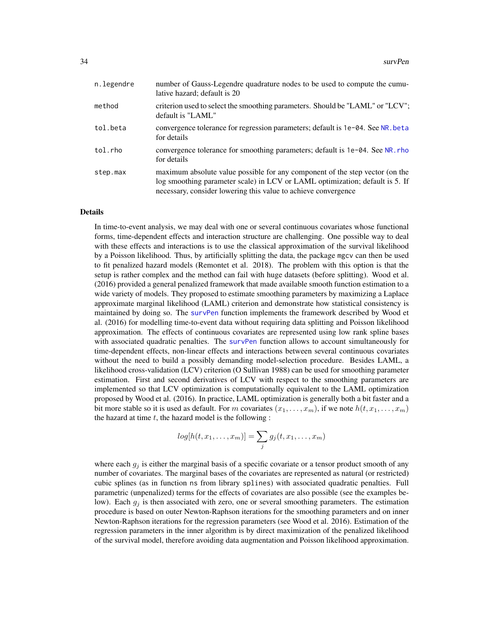<span id="page-33-0"></span>

| n.legendre | number of Gauss-Legendre quadrature nodes to be used to compute the cumu-<br>lative hazard; default is 20                                                                                                                      |
|------------|--------------------------------------------------------------------------------------------------------------------------------------------------------------------------------------------------------------------------------|
| method     | criterion used to select the smoothing parameters. Should be "LAML" or "LCV";<br>default is "LAML"                                                                                                                             |
| tol.beta   | convergence tolerance for regression parameters; default is 1e-04. See NR. beta<br>for details                                                                                                                                 |
| tol.rho    | convergence tolerance for smoothing parameters; default is 1e-04. See NR. rho<br>for details                                                                                                                                   |
| step.max   | maximum absolute value possible for any component of the step vector (on the<br>log smoothing parameter scale) in LCV or LAML optimization; default is 5. If<br>necessary, consider lowering this value to achieve convergence |

#### Details

In time-to-event analysis, we may deal with one or several continuous covariates whose functional forms, time-dependent effects and interaction structure are challenging. One possible way to deal with these effects and interactions is to use the classical approximation of the survival likelihood by a Poisson likelihood. Thus, by artificially splitting the data, the package mgcv can then be used to fit penalized hazard models (Remontet et al. 2018). The problem with this option is that the setup is rather complex and the method can fail with huge datasets (before splitting). Wood et al. (2016) provided a general penalized framework that made available smooth function estimation to a wide variety of models. They proposed to estimate smoothing parameters by maximizing a Laplace approximate marginal likelihood (LAML) criterion and demonstrate how statistical consistency is maintained by doing so. The [survPen](#page-31-1) function implements the framework described by Wood et al. (2016) for modelling time-to-event data without requiring data splitting and Poisson likelihood approximation. The effects of continuous covariates are represented using low rank spline bases with associated quadratic penalties. The [survPen](#page-31-1) function allows to account simultaneously for time-dependent effects, non-linear effects and interactions between several continuous covariates without the need to build a possibly demanding model-selection procedure. Besides LAML, a likelihood cross-validation (LCV) criterion (O Sullivan 1988) can be used for smoothing parameter estimation. First and second derivatives of LCV with respect to the smoothing parameters are implemented so that LCV optimization is computationally equivalent to the LAML optimization proposed by Wood et al. (2016). In practice, LAML optimization is generally both a bit faster and a bit more stable so it is used as default. For m covariates  $(x_1, \ldots, x_m)$ , if we note  $h(t, x_1, \ldots, x_m)$ the hazard at time  $t$ , the hazard model is the following :

$$
log[h(t, x_1, \dots, x_m)] = \sum_j g_j(t, x_1, \dots, x_m)
$$

where each  $g_j$  is either the marginal basis of a specific covariate or a tensor product smooth of any number of covariates. The marginal bases of the covariates are represented as natural (or restricted) cubic splines (as in function ns from library splines) with associated quadratic penalties. Full parametric (unpenalized) terms for the effects of covariates are also possible (see the examples below). Each  $g_i$  is then associated with zero, one or several smoothing parameters. The estimation procedure is based on outer Newton-Raphson iterations for the smoothing parameters and on inner Newton-Raphson iterations for the regression parameters (see Wood et al. 2016). Estimation of the regression parameters in the inner algorithm is by direct maximization of the penalized likelihood of the survival model, therefore avoiding data augmentation and Poisson likelihood approximation.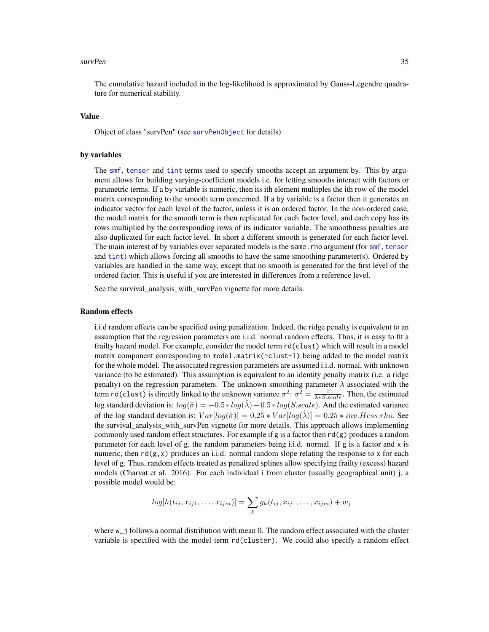<span id="page-34-0"></span>The cumulative hazard included in the log-likelihood is approximated by Gauss-Legendre quadrature for numerical stability.

#### Value

Object of class "survPen" (see [survPenObject](#page-43-1) for details)

#### by variables

The [smf](#page-24-1), [tensor](#page-24-2) and [tint](#page-24-2) terms used to specify smooths accept an argument by. This by argument allows for building varying-coefficient models i.e. for letting smooths interact with factors or parametric terms. If a by variable is numeric, then its ith element multiples the ith row of the model matrix corresponding to the smooth term concerned. If a by variable is a factor then it generates an indicator vector for each level of the factor, unless it is an ordered factor. In the non-ordered case, the model matrix for the smooth term is then replicated for each factor level, and each copy has its rows multiplied by the corresponding rows of its indicator variable. The smoothness penalties are also duplicated for each factor level. In short a different smooth is generated for each factor level. The main interest of by variables over separated models is the same.rho argument (for [smf](#page-24-1), [tensor](#page-24-2) and [tint](#page-24-2)) which allows forcing all smooths to have the same smoothing parameter(s). Ordered by variables are handled in the same way, except that no smooth is generated for the first level of the ordered factor. This is useful if you are interested in differences from a reference level.

See the survival\_analysis\_with\_survPen vignette for more details.

#### Random effects

i.i.d random effects can be specified using penalization. Indeed, the ridge penalty is equivalent to an assumption that the regression parameters are i.i.d. normal random effects. Thus, it is easy to fit a frailty hazard model. For example, consider the model term rd(clust) which will result in a model matrix component corresponding to model.matrix(~clust-1) being added to the model matrix for the whole model. The associated regression parameters are assumed i.i.d. normal, with unknown variance (to be estimated). This assumption is equivalent to an identity penalty matrix (i.e. a ridge penalty) on the regression parameters. The unknown smoothing parameter  $\lambda$  associated with the term rd(clust) is directly linked to the unknown variance  $\sigma^2$ :  $\sigma^2 = \frac{1}{\lambda * S. scale}$ . Then, the estimated log standard deviation is:  $log(\hat{\sigma}) = -0.5 * log(\hat{\lambda}) - 0.5 * log(S-scale)$ . And the estimated variance of the log standard deviation is:  $Var[log(\hat{\sigma})] = 0.25 * Var[log(\lambda)] = 0.25 * inv. Hess.rho.$  See the survival\_analysis\_with\_survPen vignette for more details. This approach allows implementing commonly used random effect structures. For example if g is a factor then  $rd(g)$  produces a random parameter for each level of g, the random parameters being i.i.d. normal. If g is a factor and x is numeric, then  $rd(g, x)$  produces an i.i.d. normal random slope relating the response to x for each level of g. Thus, random effects treated as penalized splines allow specifying frailty (excess) hazard models (Charvat et al. 2016). For each individual i from cluster (usually geographical unit) j, a possible model would be:

$$
log[h(t_{ij}, x_{ij1}, \dots, x_{ijm})] = \sum_{k} g_k(t_{ij}, x_{ij1}, \dots, x_{ijm}) + w_j
$$

where w\_j follows a normal distribution with mean 0. The random effect associated with the cluster variable is specified with the model term rd(cluster). We could also specify a random effect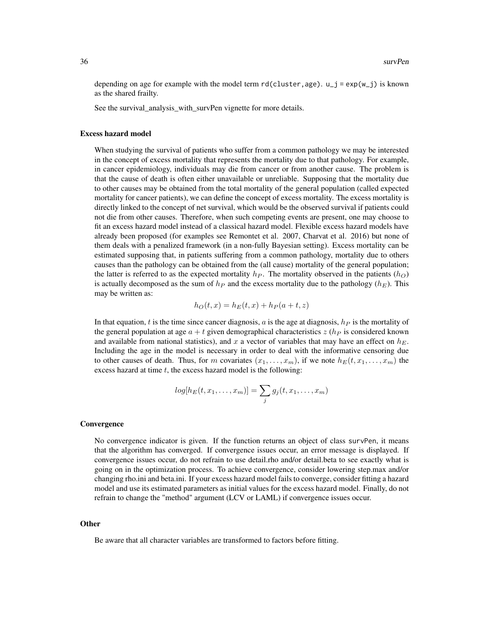depending on age for example with the model term  $rd(cluster, age)$ .  $u_j = exp(w_j)$  is known as the shared frailty.

See the survival analysis with survPen vignette for more details.

#### Excess hazard model

When studying the survival of patients who suffer from a common pathology we may be interested in the concept of excess mortality that represents the mortality due to that pathology. For example, in cancer epidemiology, individuals may die from cancer or from another cause. The problem is that the cause of death is often either unavailable or unreliable. Supposing that the mortality due to other causes may be obtained from the total mortality of the general population (called expected mortality for cancer patients), we can define the concept of excess mortality. The excess mortality is directly linked to the concept of net survival, which would be the observed survival if patients could not die from other causes. Therefore, when such competing events are present, one may choose to fit an excess hazard model instead of a classical hazard model. Flexible excess hazard models have already been proposed (for examples see Remontet et al. 2007, Charvat et al. 2016) but none of them deals with a penalized framework (in a non-fully Bayesian setting). Excess mortality can be estimated supposing that, in patients suffering from a common pathology, mortality due to others causes than the pathology can be obtained from the (all cause) mortality of the general population; the latter is referred to as the expected mortality  $h_P$ . The mortality observed in the patients  $(h_O)$ is actually decomposed as the sum of  $h_P$  and the excess mortality due to the pathology ( $h_E$ ). This may be written as:

$$
h_O(t, x) = h_E(t, x) + h_P(a + t, z)
$$

In that equation, t is the time since cancer diagnosis,  $a$  is the age at diagnosis,  $h<sub>P</sub>$  is the mortality of the general population at age  $a + t$  given demographical characteristics  $z$  ( $h<sub>P</sub>$  is considered known and available from national statistics), and x a vector of variables that may have an effect on  $h_E$ . Including the age in the model is necessary in order to deal with the informative censoring due to other causes of death. Thus, for m covariates  $(x_1, \ldots, x_m)$ , if we note  $h_E(t, x_1, \ldots, x_m)$  the excess hazard at time  $t$ , the excess hazard model is the following:

$$
log[h_E(t, x_1, \dots, x_m)] = \sum_j g_j(t, x_1, \dots, x_m)
$$

#### **Convergence**

No convergence indicator is given. If the function returns an object of class survPen, it means that the algorithm has converged. If convergence issues occur, an error message is displayed. If convergence issues occur, do not refrain to use detail.rho and/or detail.beta to see exactly what is going on in the optimization process. To achieve convergence, consider lowering step.max and/or changing rho.ini and beta.ini. If your excess hazard model fails to converge, consider fitting a hazard model and use its estimated parameters as initial values for the excess hazard model. Finally, do not refrain to change the "method" argument (LCV or LAML) if convergence issues occur.

#### Other

Be aware that all character variables are transformed to factors before fitting.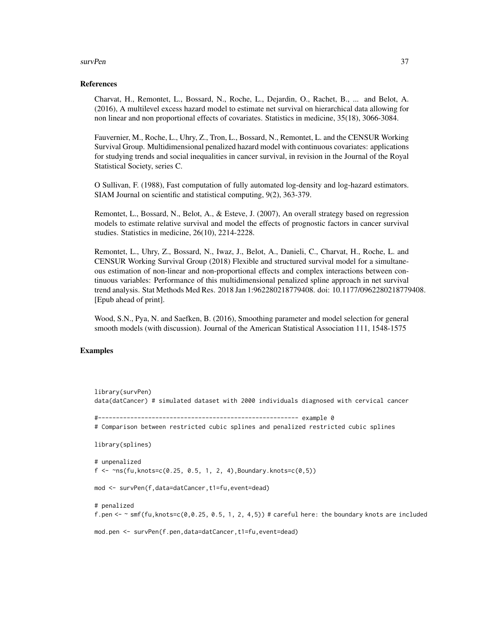#### References

Charvat, H., Remontet, L., Bossard, N., Roche, L., Dejardin, O., Rachet, B., ... and Belot, A. (2016), A multilevel excess hazard model to estimate net survival on hierarchical data allowing for non linear and non proportional effects of covariates. Statistics in medicine, 35(18), 3066-3084.

Fauvernier, M., Roche, L., Uhry, Z., Tron, L., Bossard, N., Remontet, L. and the CENSUR Working Survival Group. Multidimensional penalized hazard model with continuous covariates: applications for studying trends and social inequalities in cancer survival, in revision in the Journal of the Royal Statistical Society, series C.

O Sullivan, F. (1988), Fast computation of fully automated log-density and log-hazard estimators. SIAM Journal on scientific and statistical computing, 9(2), 363-379.

Remontet, L., Bossard, N., Belot, A., & Esteve, J. (2007), An overall strategy based on regression models to estimate relative survival and model the effects of prognostic factors in cancer survival studies. Statistics in medicine, 26(10), 2214-2228.

Remontet, L., Uhry, Z., Bossard, N., Iwaz, J., Belot, A., Danieli, C., Charvat, H., Roche, L. and CENSUR Working Survival Group (2018) Flexible and structured survival model for a simultaneous estimation of non-linear and non-proportional effects and complex interactions between continuous variables: Performance of this multidimensional penalized spline approach in net survival trend analysis. Stat Methods Med Res. 2018 Jan 1:962280218779408. doi: 10.1177/0962280218779408. [Epub ahead of print].

Wood, S.N., Pya, N. and Saefken, B. (2016), Smoothing parameter and model selection for general smooth models (with discussion). Journal of the American Statistical Association 111, 1548-1575

#### Examples

```
library(survPen)
data(datCancer) # simulated dataset with 2000 individuals diagnosed with cervical cancer
#-------------------------------------------------------- example 0
# Comparison between restricted cubic splines and penalized restricted cubic splines
library(splines)
# unpenalized
f \leq -\gamma n s(fu, knots = c(0.25, 0.5, 1, 2, 4), Boundary.knot = c(0,5))mod <- survPen(f,data=datCancer,t1=fu,event=dead)
# penalized
f.pen <- \sim smf(fu, knots=c(0,0.25, 0.5, 1, 2, 4,5)) # careful here: the boundary knots are included
```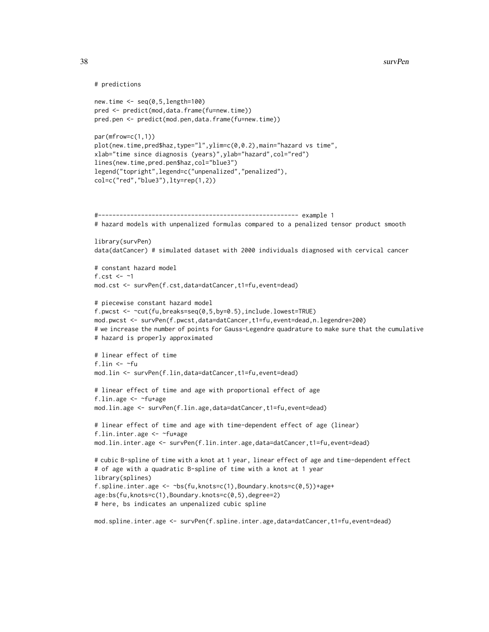```
# predictions
```

```
new.time <- seq(0,5,length=100)
pred <- predict(mod,data.frame(fu=new.time))
pred.pen <- predict(mod.pen,data.frame(fu=new.time))
```

```
par(mfrow=c(1,1))
plot(new.time,pred$haz,type="l",ylim=c(0,0.2),main="hazard vs time",
xlab="time since diagnosis (years)",ylab="hazard",col="red")
lines(new.time,pred.pen$haz,col="blue3")
legend("topright",legend=c("unpenalized","penalized"),
col=c("red","blue3"),lty=rep(1,2))
```

```
#-------------------------------------------------------- example 1
# hazard models with unpenalized formulas compared to a penalized tensor product smooth
library(survPen)
data(datCancer) # simulated dataset with 2000 individuals diagnosed with cervical cancer
```

```
# constant hazard model
f.cst \leq -1mod.cst <- survPen(f.cst,data=datCancer,t1=fu,event=dead)
```

```
# piecewise constant hazard model
f.pwcst <- ~cut(fu,breaks=seq(0,5,by=0.5),include.lowest=TRUE)
mod.pwcst <- survPen(f.pwcst,data=datCancer,t1=fu,event=dead,n.legendre=200)
# we increase the number of points for Gauss-Legendre quadrature to make sure that the cumulative
# hazard is properly approximated
```

```
# linear effect of time
f.lin \leftarrow \simfu
mod.lin <- survPen(f.lin,data=datCancer,t1=fu,event=dead)
```

```
# linear effect of time and age with proportional effect of age
f.lin.age <- ~fu+age
mod.lin.age <- survPen(f.lin.age,data=datCancer,t1=fu,event=dead)
```

```
# linear effect of time and age with time-dependent effect of age (linear)
f.lin.inter.age <- ~fu*age
mod.lin.inter.age <- survPen(f.lin.inter.age,data=datCancer,t1=fu,event=dead)
```

```
# cubic B-spline of time with a knot at 1 year, linear effect of age and time-dependent effect
# of age with a quadratic B-spline of time with a knot at 1 year
library(splines)
f.spline.inter.age <- \simbs(fu, knots=c(1), Boundary.knots=c(0,5))+age+
age:bs(fu,knots=c(1),Boundary.knots=c(0,5),degree=2)
# here, bs indicates an unpenalized cubic spline
```

```
mod.spline.inter.age <- survPen(f.spline.inter.age,data=datCancer,t1=fu,event=dead)
```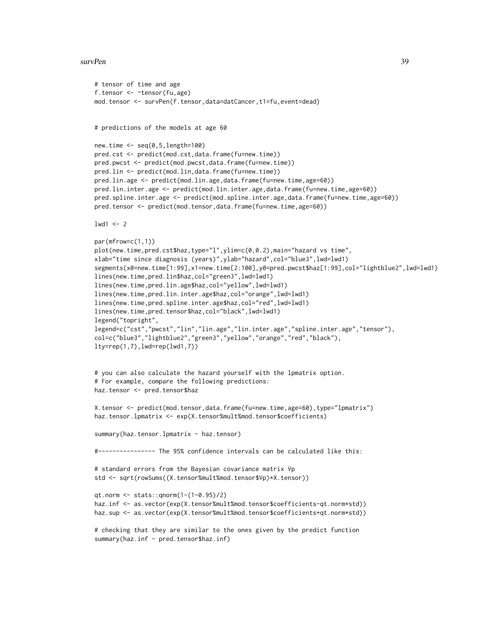```
# tensor of time and age
f.tensor <- ~tensor(fu,age)
mod.tensor <- survPen(f.tensor,data=datCancer,t1=fu,event=dead)
# predictions of the models at age 60
new.time \leq seq(0,5,length=100)
pred.cst <- predict(mod.cst,data.frame(fu=new.time))
pred.pwcst <- predict(mod.pwcst,data.frame(fu=new.time))
pred.lin <- predict(mod.lin,data.frame(fu=new.time))
pred.lin.age <- predict(mod.lin.age,data.frame(fu=new.time,age=60))
pred.lin.inter.age <- predict(mod.lin.inter.age,data.frame(fu=new.time,age=60))
pred.spline.inter.age <- predict(mod.spline.inter.age,data.frame(fu=new.time,age=60))
pred.tensor <- predict(mod.tensor,data.frame(fu=new.time,age=60))
1wd1 < -2par(mfrow=c(1,1))
plot(new.time,pred.cst$haz,type="l",ylim=c(0,0.2),main="hazard vs time",
xlab="time since diagnosis (years)",ylab="hazard",col="blue3",lwd=lwd1)
segments(x0=new.time[1:99],x1=new.time[2:100],y0=pred.pwcst$haz[1:99],col="lightblue2",lwd=lwd1)
lines(new.time,pred.lin$haz,col="green3",lwd=lwd1)
lines(new.time,pred.lin.age$haz,col="yellow",lwd=lwd1)
lines(new.time,pred.lin.inter.age$haz,col="orange",lwd=lwd1)
lines(new.time,pred.spline.inter.age$haz,col="red",lwd=lwd1)
lines(new.time,pred.tensor$haz,col="black",lwd=lwd1)
legend("topright",
legend=c("cst","pwcst","lin","lin.age","lin.inter.age","spline.inter.age","tensor"),
col=c("blue3","lightblue2","green3","yellow","orange","red","black"),
lty=rep(1,7),lwd=rep(lwd1,7))
# you can also calculate the hazard yourself with the lpmatrix option.
# For example, compare the following predictions:
haz.tensor <- pred.tensor$haz
X.tensor <- predict(mod.tensor,data.frame(fu=new.time,age=60),type="lpmatrix")
haz.tensor.lpmatrix <- exp(X.tensor%mult%mod.tensor$coefficients)
summary(haz.tensor.lpmatrix - haz.tensor)
#---------------- The 95% confidence intervals can be calculated like this:
# standard errors from the Bayesian covariance matrix Vp
std <- sqrt(rowSums((X.tensor%mult%mod.tensor$Vp)*X.tensor))
qt.norm <- stats::qnorm(1-(1-0.95)/2)
haz.inf <- as.vector(exp(X.tensor%mult%mod.tensor$coefficients-qt.norm*std))
haz.sup <- as.vector(exp(X.tensor%mult%mod.tensor$coefficients+qt.norm*std))
# checking that they are similar to the ones given by the predict function
summary(haz.inf - pred.tensor$haz.inf)
```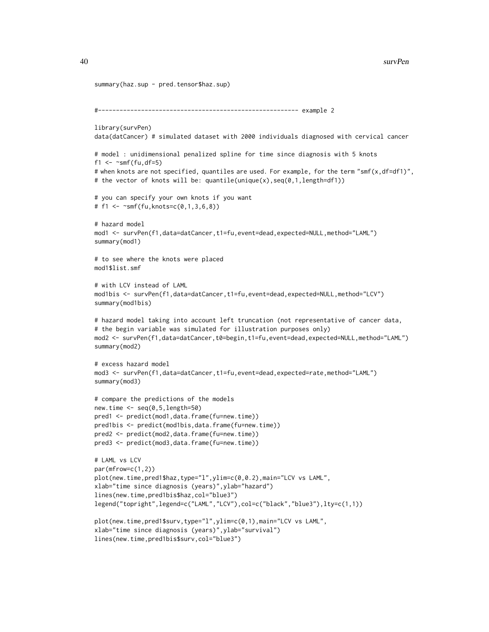```
summary(haz.sup - pred.tensor$haz.sup)
#-------------------------------------------------------- example 2
library(survPen)
data(datCancer) # simulated dataset with 2000 individuals diagnosed with cervical cancer
# model : unidimensional penalized spline for time since diagnosis with 5 knots
f1 \leq \sim smf(fu,df=5)
# when knots are not specified, quantiles are used. For example, for the term "smf(x,df=df1)",
# the vector of knots will be: quantile(unique(x),seq(0,1,length=df1))
# you can specify your own knots if you want
# f1 \leq -\gamma s m f(fu, knots=c(0,1,3,6,8))# hazard model
mod1 <- survPen(f1,data=datCancer,t1=fu,event=dead,expected=NULL,method="LAML")
summary(mod1)
# to see where the knots were placed
mod1$list.smf
# with LCV instead of LAML
mod1bis <- survPen(f1,data=datCancer,t1=fu,event=dead,expected=NULL,method="LCV")
summary(mod1bis)
# hazard model taking into account left truncation (not representative of cancer data,
# the begin variable was simulated for illustration purposes only)
mod2 <- survPen(f1,data=datCancer,t0=begin,t1=fu,event=dead,expected=NULL,method="LAML")
summary(mod2)
# excess hazard model
mod3 <- survPen(f1,data=datCancer,t1=fu,event=dead,expected=rate,method="LAML")
summary(mod3)
# compare the predictions of the models
new.time <- seq(0,5,length=50)
pred1 <- predict(mod1,data.frame(fu=new.time))
pred1bis <- predict(mod1bis,data.frame(fu=new.time))
pred2 <- predict(mod2,data.frame(fu=new.time))
pred3 <- predict(mod3,data.frame(fu=new.time))
# LAML vs LCV
par(mfrow=c(1,2))
plot(new.time,pred1$haz,type="l",ylim=c(0,0.2),main="LCV vs LAML",
xlab="time since diagnosis (years)",ylab="hazard")
lines(new.time,pred1bis$haz,col="blue3")
legend("topright",legend=c("LAML","LCV"),col=c("black","blue3"),lty=c(1,1))
plot(new.time,pred1$surv,type="l",ylim=c(0,1),main="LCV vs LAML",
xlab="time since diagnosis (years)",ylab="survival")
lines(new.time,pred1bis$surv,col="blue3")
```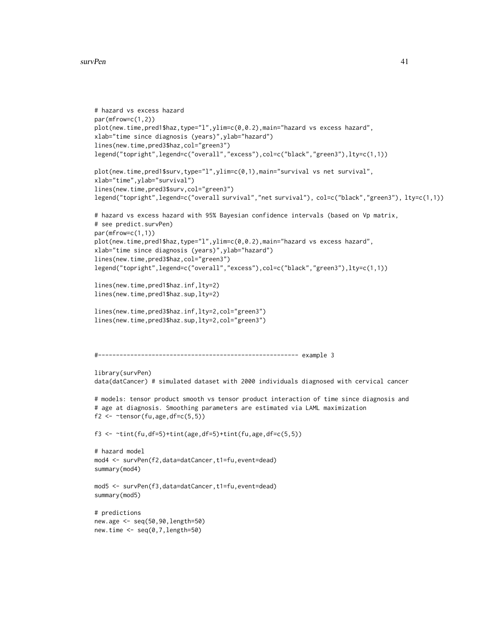```
# hazard vs excess hazard
par(mfrow=c(1,2))
plot(new.time,pred1$haz,type="l",ylim=c(0,0.2),main="hazard vs excess hazard",
xlab="time since diagnosis (years)",ylab="hazard")
lines(new.time,pred3$haz,col="green3")
legend("topright",legend=c("overall","excess"),col=c("black","green3"),lty=c(1,1))
plot(new.time,pred1$surv,type="l",ylim=c(0,1),main="survival vs net survival",
xlab="time",ylab="survival")
lines(new.time,pred3$surv,col="green3")
legend("topright",legend=c("overall survival","net survival"), col=c("black","green3"), lty=c(1,1))
# hazard vs excess hazard with 95% Bayesian confidence intervals (based on Vp matrix,
# see predict.survPen)
par(mfrow=c(1,1))
plot(new.time,pred1$haz,type="l",ylim=c(0,0.2),main="hazard vs excess hazard",
xlab="time since diagnosis (years)",ylab="hazard")
lines(new.time,pred3$haz,col="green3")
legend("topright",legend=c("overall","excess"),col=c("black","green3"),lty=c(1,1))
lines(new.time,pred1$haz.inf,lty=2)
lines(new.time,pred1$haz.sup,lty=2)
lines(new.time,pred3$haz.inf,lty=2,col="green3")
lines(new.time,pred3$haz.sup,lty=2,col="green3")
#-------------------------------------------------------- example 3
library(survPen)
data(datCancer) # simulated dataset with 2000 individuals diagnosed with cervical cancer
# models: tensor product smooth vs tensor product interaction of time since diagnosis and
# age at diagnosis. Smoothing parameters are estimated via LAML maximization
f2 \leq \leq \leq \leq \leq \leq \leq \leq \leq \leq \leq \leq \leq \leq \leq \leq \leq \leq \leq \leq \leq \leq \leq \leq \leq \leq \leq \leq \leq \leq \leq \leq \leq \leq \leq \leq \f3 <- ~tint(fu,df=5)+tint(age,df=5)+tint(fu,age,df=c(5,5))
# hazard model
mod4 <- survPen(f2,data=datCancer,t1=fu,event=dead)
summary(mod4)
mod5 <- survPen(f3,data=datCancer,t1=fu,event=dead)
summary(mod5)
# predictions
new.age <- seq(50,90,length=50)
new.time <- seq(0,7,length=50)
```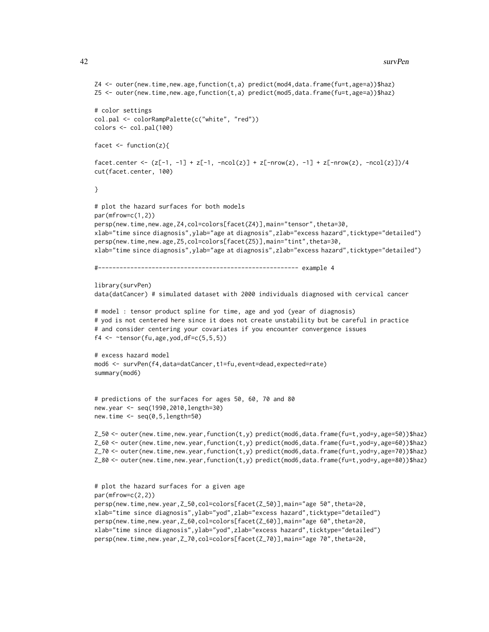```
Z4 <- outer(new.time,new.age,function(t,a) predict(mod4,data.frame(fu=t,age=a))$haz)
Z5 <- outer(new.time,new.age,function(t,a) predict(mod5,data.frame(fu=t,age=a))$haz)
# color settings
col.pal <- colorRampPalette(c("white", "red"))
colors < -col.pal(100)facet \leq function(z){
facet.center <- (z[-1, -1] + z[-1, -nco1(z)] + z[-nrow(z), -1] + z[-nrow(z), -nco1(z)])/4cut(facet.center, 100)
}
# plot the hazard surfaces for both models
par(mfrow=c(1,2))
persp(new.time,new.age,Z4,col=colors[facet(Z4)],main="tensor",theta=30,
xlab="time since diagnosis",ylab="age at diagnosis",zlab="excess hazard",ticktype="detailed")
persp(new.time,new.age,Z5,col=colors[facet(Z5)],main="tint",theta=30,
xlab="time since diagnosis",ylab="age at diagnosis",zlab="excess hazard",ticktype="detailed")
#-------------------------------------------------------- example 4
library(survPen)
data(datCancer) # simulated dataset with 2000 individuals diagnosed with cervical cancer
# model : tensor product spline for time, age and yod (year of diagnosis)
# yod is not centered here since it does not create unstability but be careful in practice
# and consider centering your covariates if you encounter convergence issues
f4 \leq \text{tensor}(fu, age, yod, df = c(5, 5, 5))# excess hazard model
mod6 <- survPen(f4,data=datCancer,t1=fu,event=dead,expected=rate)
summary(mod6)
# predictions of the surfaces for ages 50, 60, 70 and 80
new.year <- seq(1990,2010,length=30)
new.time <- seq(0,5,length=50)
Z_50 <- outer(new.time,new.year,function(t,y) predict(mod6,data.frame(fu=t,yod=y,age=50))$haz)
Z_60 <- outer(new.time,new.year,function(t,y) predict(mod6,data.frame(fu=t,yod=y,age=60))$haz)
Z_70 <- outer(new.time,new.year,function(t,y) predict(mod6,data.frame(fu=t,yod=y,age=70))$haz)
Z_80 <- outer(new.time,new.year,function(t,y) predict(mod6,data.frame(fu=t,yod=y,age=80))$haz)
# plot the hazard surfaces for a given age
par(mfrow=c(2,2))
persp(new.time,new.year,Z_50,col=colors[facet(Z_50)],main="age 50",theta=20,
xlab="time since diagnosis",ylab="yod",zlab="excess hazard",ticktype="detailed")
persp(new.time,new.year,Z_60,col=colors[facet(Z_60)],main="age 60",theta=20,
xlab="time since diagnosis",ylab="yod",zlab="excess hazard",ticktype="detailed")
```

```
persp(new.time,new.year,Z_70,col=colors[facet(Z_70)],main="age 70",theta=20,
```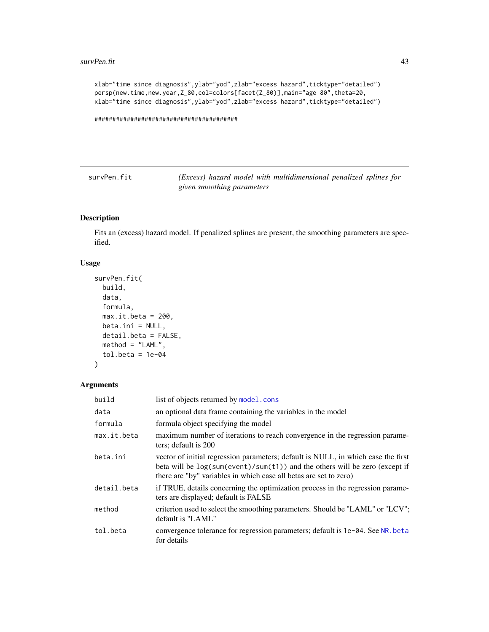#### <span id="page-42-0"></span>survPen.fit 43

```
xlab="time since diagnosis",ylab="yod",zlab="excess hazard",ticktype="detailed")
persp(new.time,new.year,Z_80,col=colors[facet(Z_80)],main="age 80",theta=20,
xlab="time since diagnosis",ylab="yod",zlab="excess hazard",ticktype="detailed")
```
########################################

<span id="page-42-1"></span>survPen.fit *(Excess) hazard model with multidimensional penalized splines for given smoothing parameters*

### Description

Fits an (excess) hazard model. If penalized splines are present, the smoothing parameters are specified.

### Usage

```
survPen.fit(
 build,
 data,
 formula,
 max.it.beta = 200,beta.ini = NULL,detail.beta = FALSE,
 method = "LAML",tol.beta = 1e-04)
```
#### Arguments

| build       | list of objects returned by model.cons                                                                                                                                                                                                  |
|-------------|-----------------------------------------------------------------------------------------------------------------------------------------------------------------------------------------------------------------------------------------|
| data        | an optional data frame containing the variables in the model                                                                                                                                                                            |
| formula     | formula object specifying the model                                                                                                                                                                                                     |
| max.it.beta | maximum number of iterations to reach convergence in the regression parame-<br>ters; default is 200                                                                                                                                     |
| beta.ini    | vector of initial regression parameters; default is NULL, in which case the first<br>beta will be $log(sum(event)/sum(t1))$ and the others will be zero (except if<br>there are "by" variables in which case all betas are set to zero) |
| detail.beta | if TRUE, details concerning the optimization process in the regression parame-<br>ters are displayed; default is FALSE                                                                                                                  |
| method      | criterion used to select the smoothing parameters. Should be "LAML" or "LCV";<br>default is "LAML"                                                                                                                                      |
| tol.beta    | convergence tolerance for regression parameters; default is 1e-04. See NR. beta<br>for details                                                                                                                                          |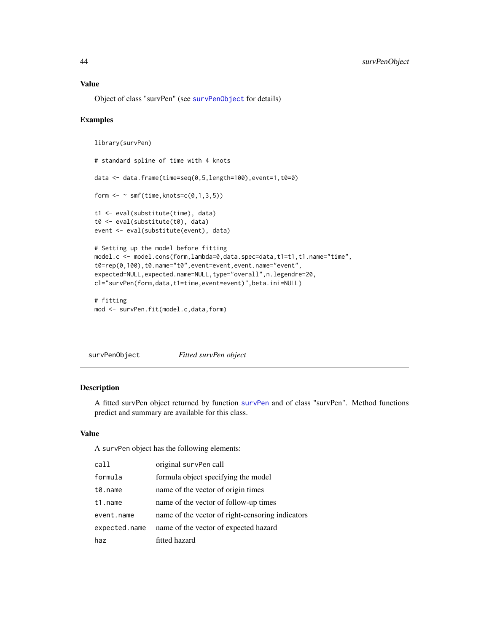#### <span id="page-43-0"></span>Value

Object of class "survPen" (see [survPenObject](#page-43-1) for details)

#### Examples

```
library(survPen)
# standard spline of time with 4 knots
data <- data.frame(time=seq(0,5,length=100),event=1,t0=0)
form \leq \sim smf(time, knots=c(0,1,3,5))
t1 <- eval(substitute(time), data)
t0 <- eval(substitute(t0), data)
event <- eval(substitute(event), data)
# Setting up the model before fitting
model.c <- model.cons(form,lambda=0,data.spec=data,t1=t1,t1.name="time",
t0=rep(0,100),t0.name="t0",event=event,event.name="event",
expected=NULL,expected.name=NULL,type="overall",n.legendre=20,
cl="survPen(form,data,t1=time,event=event)",beta.ini=NULL)
# fitting
```
mod <- survPen.fit(model.c,data,form)

<span id="page-43-1"></span>survPenObject *Fitted survPen object*

### Description

A fitted survPen object returned by function [survPen](#page-31-1) and of class "survPen". Method functions predict and summary are available for this class.

### Value

A survPen object has the following elements:

| call          | original survPen call                            |
|---------------|--------------------------------------------------|
| formula       | formula object specifying the model              |
| t0.name       | name of the vector of origin times               |
| t1.name       | name of the vector of follow-up times            |
| event.name    | name of the vector of right-censoring indicators |
| expected.name | name of the vector of expected hazard            |
| haz           | fitted hazard                                    |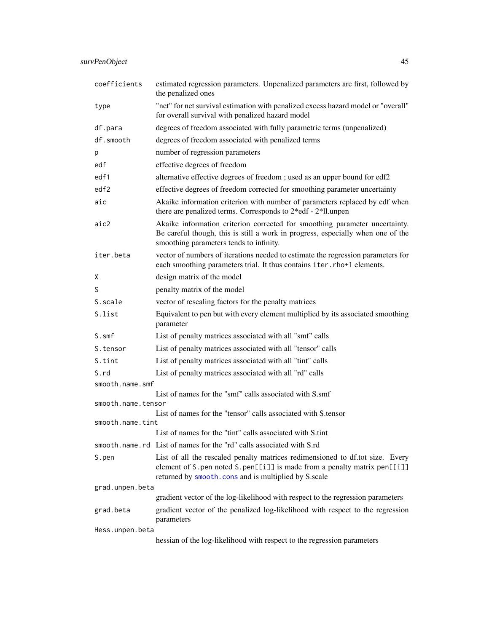<span id="page-44-0"></span>

| coefficients                                                                  | estimated regression parameters. Unpenalized parameters are first, followed by<br>the penalized ones                                                                                                                |  |
|-------------------------------------------------------------------------------|---------------------------------------------------------------------------------------------------------------------------------------------------------------------------------------------------------------------|--|
| type                                                                          | "net" for net survival estimation with penalized excess hazard model or "overall"<br>for overall survival with penalized hazard model                                                                               |  |
| df.para                                                                       | degrees of freedom associated with fully parametric terms (unpenalized)                                                                                                                                             |  |
| df.smooth                                                                     | degrees of freedom associated with penalized terms                                                                                                                                                                  |  |
| р                                                                             | number of regression parameters                                                                                                                                                                                     |  |
| edf                                                                           | effective degrees of freedom                                                                                                                                                                                        |  |
| edf1                                                                          | alternative effective degrees of freedom ; used as an upper bound for edf2                                                                                                                                          |  |
| edf2                                                                          | effective degrees of freedom corrected for smoothing parameter uncertainty                                                                                                                                          |  |
| aic                                                                           | Akaike information criterion with number of parameters replaced by edf when<br>there are penalized terms. Corresponds to 2*edf - 2*1l.unpen                                                                         |  |
| aic2                                                                          | Akaike information criterion corrected for smoothing parameter uncertainty.<br>Be careful though, this is still a work in progress, especially when one of the<br>smoothing parameters tends to infinity.           |  |
| iter.beta                                                                     | vector of numbers of iterations needed to estimate the regression parameters for<br>each smoothing parameters trial. It thus contains iter.rho+1 elements.                                                          |  |
| х                                                                             | design matrix of the model                                                                                                                                                                                          |  |
| S                                                                             | penalty matrix of the model                                                                                                                                                                                         |  |
| S.scale                                                                       | vector of rescaling factors for the penalty matrices                                                                                                                                                                |  |
| S.list                                                                        | Equivalent to pen but with every element multiplied by its associated smoothing<br>parameter                                                                                                                        |  |
| S.smf                                                                         | List of penalty matrices associated with all "smf" calls                                                                                                                                                            |  |
| S.tensor                                                                      | List of penalty matrices associated with all "tensor" calls                                                                                                                                                         |  |
| S.tint                                                                        | List of penalty matrices associated with all "tint" calls                                                                                                                                                           |  |
| S.rd                                                                          | List of penalty matrices associated with all "rd" calls                                                                                                                                                             |  |
| smooth.name.smf                                                               |                                                                                                                                                                                                                     |  |
| List of names for the "smf" calls associated with S.smf<br>smooth.name.tensor |                                                                                                                                                                                                                     |  |
| List of names for the "tensor" calls associated with S.tensor                 |                                                                                                                                                                                                                     |  |
| smooth.name.tint                                                              |                                                                                                                                                                                                                     |  |
|                                                                               | List of names for the "tint" calls associated with S.tint                                                                                                                                                           |  |
|                                                                               | smooth.name.rd List of names for the "rd" calls associated with S.rd                                                                                                                                                |  |
| S.pen                                                                         | List of all the rescaled penalty matrices redimensioned to df.tot size. Every<br>element of S. pen noted S. pen[[i]] is made from a penalty matrix pen[[i]]<br>returned by smooth.cons and is multiplied by S.scale |  |
| grad.unpen.beta                                                               |                                                                                                                                                                                                                     |  |
|                                                                               | gradient vector of the log-likelihood with respect to the regression parameters                                                                                                                                     |  |
| grad.beta                                                                     | gradient vector of the penalized log-likelihood with respect to the regression<br>parameters                                                                                                                        |  |
| Hess.unpen.beta                                                               |                                                                                                                                                                                                                     |  |
|                                                                               | hessian of the log-likelihood with respect to the regression parameters                                                                                                                                             |  |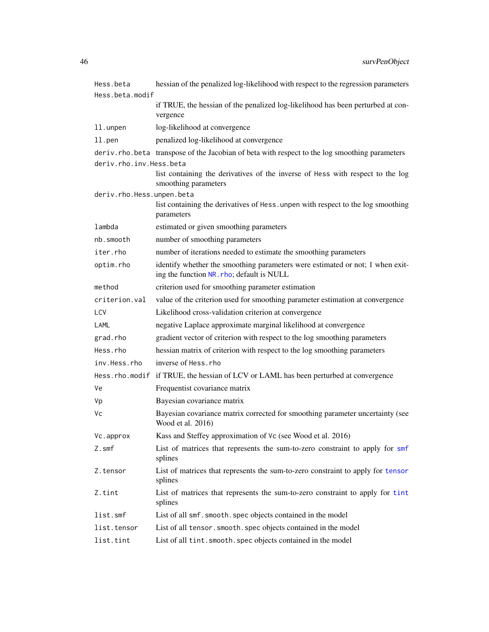<span id="page-45-0"></span>

| Hess.beta                 | hessian of the penalized log-likelihood with respect to the regression parameters                                          |  |
|---------------------------|----------------------------------------------------------------------------------------------------------------------------|--|
| Hess.beta.modif           |                                                                                                                            |  |
|                           | if TRUE, the hessian of the penalized log-likelihood has been perturbed at con-<br>vergence                                |  |
| 11.unpen                  | log-likelihood at convergence                                                                                              |  |
| 11.pen                    | penalized log-likelihood at convergence                                                                                    |  |
|                           | deriv.rho.beta transpose of the Jacobian of beta with respect to the log smoothing parameters                              |  |
| deriv.rho.inv.Hess.beta   |                                                                                                                            |  |
|                           | list containing the derivatives of the inverse of Hess with respect to the log<br>smoothing parameters                     |  |
| deriv.rho.Hess.unpen.beta |                                                                                                                            |  |
|                           | list containing the derivatives of Hess. unpen with respect to the log smoothing<br>parameters                             |  |
| lambda                    | estimated or given smoothing parameters                                                                                    |  |
| nb.smooth                 | number of smoothing parameters                                                                                             |  |
| iter.rho                  | number of iterations needed to estimate the smoothing parameters                                                           |  |
| optim.rho                 | identify whether the smoothing parameters were estimated or not; 1 when exit-<br>ing the function NR. rho; default is NULL |  |
| method                    | criterion used for smoothing parameter estimation                                                                          |  |
| criterion.val             | value of the criterion used for smoothing parameter estimation at convergence                                              |  |
| LCV                       | Likelihood cross-validation criterion at convergence                                                                       |  |
| LAML                      | negative Laplace approximate marginal likelihood at convergence                                                            |  |
| grad.rho                  | gradient vector of criterion with respect to the log smoothing parameters                                                  |  |
| Hess.rho                  | hessian matrix of criterion with respect to the log smoothing parameters                                                   |  |
| inv.Hess.rho              | inverse of Hess.rho                                                                                                        |  |
|                           | Hess.rho.modif if TRUE, the hessian of LCV or LAML has been perturbed at convergence                                       |  |
| ٧e                        | Frequentist covariance matrix                                                                                              |  |
| Vp                        | Bayesian covariance matrix                                                                                                 |  |
| Vс                        | Bayesian covariance matrix corrected for smoothing parameter uncertainty (see<br>Wood et al. 2016)                         |  |
| Vc.approx                 | Kass and Steffey approximation of Vc (see Wood et al. 2016)                                                                |  |
| Z.smf                     | List of matrices that represents the sum-to-zero constraint to apply for smf<br>splines                                    |  |
| Z.tensor                  | List of matrices that represents the sum-to-zero constraint to apply for tensor<br>splines                                 |  |
| Z.tint                    | List of matrices that represents the sum-to-zero constraint to apply for tint<br>splines                                   |  |
| list.smf                  | List of all smf. smooth. spec objects contained in the model                                                               |  |
| list.tensor               | List of all tensor. smooth. spec objects contained in the model                                                            |  |
| list.tint                 | List of all tint. smooth. spec objects contained in the model                                                              |  |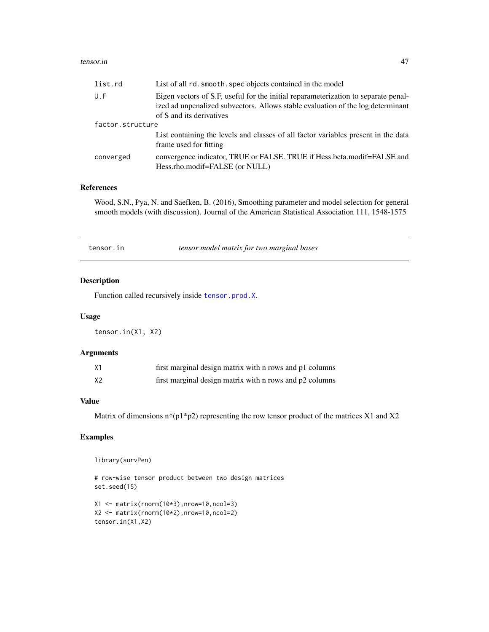#### <span id="page-46-0"></span>tensor.in 47

| list.rd          | List of all rd. smooth. spec objects contained in the model                                                                                                                                       |  |
|------------------|---------------------------------------------------------------------------------------------------------------------------------------------------------------------------------------------------|--|
| U.F              | Eigen vectors of S.F, useful for the initial reparameterization to separate penal-<br>ized ad unpenalized subvectors. Allows stable evaluation of the log determinant<br>of S and its derivatives |  |
| factor.structure |                                                                                                                                                                                                   |  |
|                  | List containing the levels and classes of all factor variables present in the data<br>frame used for fitting                                                                                      |  |
| converged        | convergence indicator, TRUE or FALSE. TRUE if Hess.beta.modif=FALSE and<br>Hess.rho.modif=FALSE (or NULL)                                                                                         |  |

#### References

Wood, S.N., Pya, N. and Saefken, B. (2016), Smoothing parameter and model selection for general smooth models (with discussion). Journal of the American Statistical Association 111, 1548-1575

tensor.in *tensor model matrix for two marginal bases*

### Description

Function called recursively inside [tensor.prod.X](#page-47-1).

### Usage

tensor.in(X1, X2)

### Arguments

| X1             | first marginal design matrix with n rows and p1 columns |
|----------------|---------------------------------------------------------|
| X <sub>2</sub> | first marginal design matrix with n rows and p2 columns |

### Value

Matrix of dimensions  $n*(p1*p2)$  representing the row tensor product of the matrices X1 and X2

### Examples

library(survPen)

# row-wise tensor product between two design matrices set.seed(15)

```
X1 <- matrix(rnorm(10*3),nrow=10,ncol=3)
X2 <- matrix(rnorm(10*2),nrow=10,ncol=2)
tensor.in(X1,X2)
```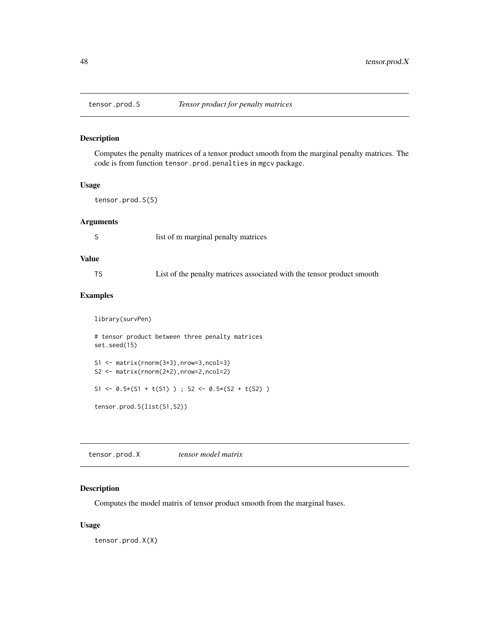<span id="page-47-0"></span>

#### Description

Computes the penalty matrices of a tensor product smooth from the marginal penalty matrices. The code is from function tensor.prod.penalties in mgcv package.

#### Usage

tensor.prod.S(S)

### Arguments

S list of m marginal penalty matrices

### Value

| TS |  |  |  | List of the penalty matrices associated with the tensor product smooth |
|----|--|--|--|------------------------------------------------------------------------|
|----|--|--|--|------------------------------------------------------------------------|

### Examples

library(survPen)

```
# tensor product between three penalty matrices
set.seed(15)
S1 <- matrix(rnorm(3*3),nrow=3,ncol=3)
S2 <- matrix(rnorm(2*2),nrow=2,ncol=2)
S1 <- 0.5*(S1 + t(S1)); S2 <- 0.5*(S2 + t(S2))
```
tensor.prod.S(list(S1,S2))

<span id="page-47-1"></span>tensor.prod.X *tensor model matrix*

### Description

Computes the model matrix of tensor product smooth from the marginal bases.

#### Usage

tensor.prod.X(X)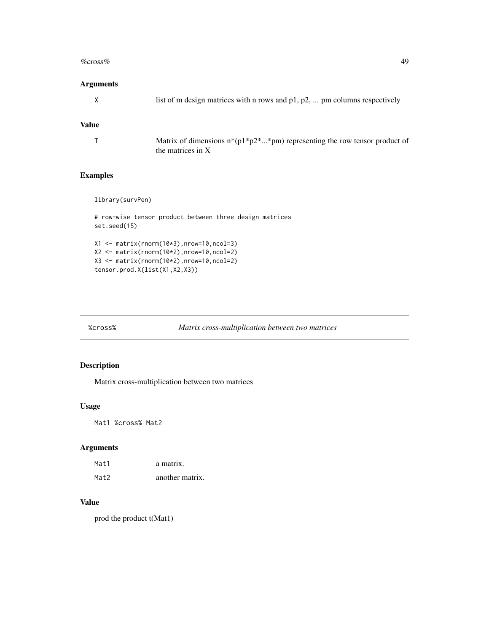#### <span id="page-48-0"></span> $\%$ cross% 49

### Arguments

| list of m design matrices with n rows and $p1$ , $p2$ ,  pm columns respectively |
|----------------------------------------------------------------------------------|
|                                                                                  |
|                                                                                  |

### Value

| Matrix of dimensions $n*(p1*p2**pm)$ representing the row tensor product of |
|-----------------------------------------------------------------------------|
| the matrices in $X$                                                         |

### Examples

```
library(survPen)
```

```
# row-wise tensor product between three design matrices
set.seed(15)
X1 <- matrix(rnorm(10*3),nrow=10,ncol=3)
X2 <- matrix(rnorm(10*2),nrow=10,ncol=2)
X3 <- matrix(rnorm(10*2),nrow=10,ncol=2)
tensor.prod.X(list(X1,X2,X3))
```
%cross% *Matrix cross-multiplication between two matrices*

### Description

Matrix cross-multiplication between two matrices

#### Usage

Mat1 %cross% Mat2

### Arguments

| Mat1 | a matrix.       |
|------|-----------------|
| Mat2 | another matrix. |

#### Value

prod the product t(Mat1)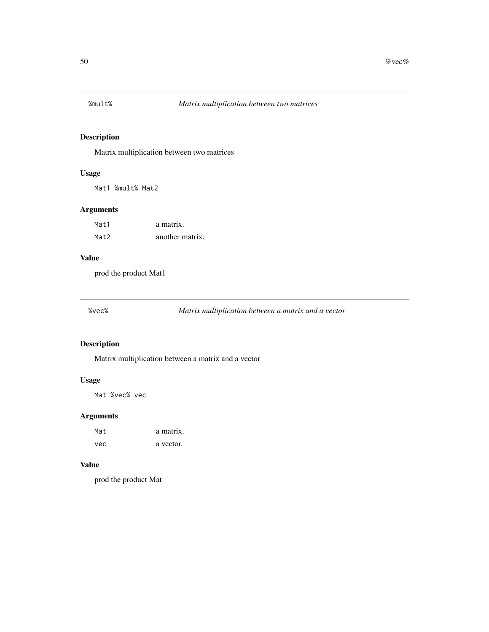<span id="page-49-0"></span>

### Description

Matrix multiplication between two matrices

### Usage

Mat1 %mult% Mat2

### Arguments

| Mat1 | a matrix.       |
|------|-----------------|
| Mat2 | another matrix. |

### Value

prod the product Mat1

%vec% *Matrix multiplication between a matrix and a vector*

### Description

Matrix multiplication between a matrix and a vector

### Usage

Mat %vec% vec

### Arguments

| Mat | a matrix. |
|-----|-----------|
| vec | a vector. |

#### Value

prod the product Mat